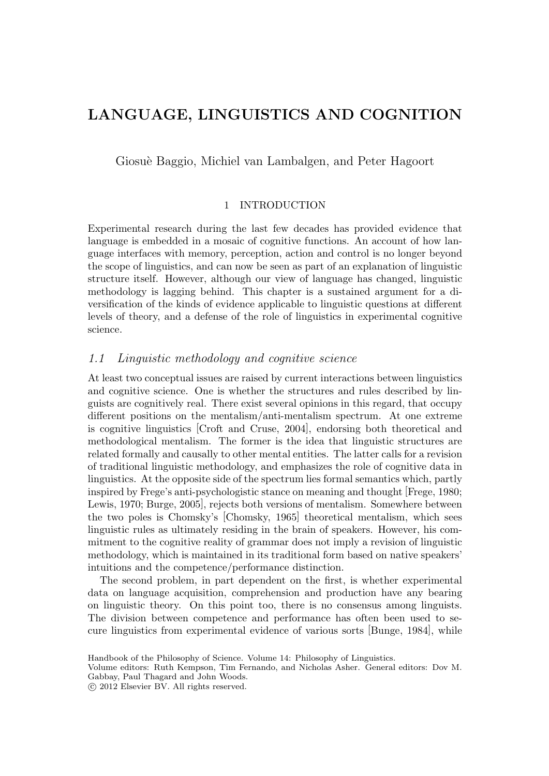# LANGUAGE, LINGUISTICS AND COGNITION

Giosu`e Baggio, Michiel van Lambalgen, and Peter Hagoort

# 1 INTRODUCTION

Experimental research during the last few decades has provided evidence that language is embedded in a mosaic of cognitive functions. An account of how language interfaces with memory, perception, action and control is no longer beyond the scope of linguistics, and can now be seen as part of an explanation of linguistic structure itself. However, although our view of language has changed, linguistic methodology is lagging behind. This chapter is a sustained argument for a diversification of the kinds of evidence applicable to linguistic questions at different levels of theory, and a defense of the role of linguistics in experimental cognitive science.

# 1.1 Linguistic methodology and cognitive science

At least two conceptual issues are raised by current interactions between linguistics and cognitive science. One is whether the structures and rules described by linguists are cognitively real. There exist several opinions in this regard, that occupy different positions on the mentalism/anti-mentalism spectrum. At one extreme is cognitive linguistics [Croft and Cruse, 2004], endorsing both theoretical and methodological mentalism. The former is the idea that linguistic structures are related formally and causally to other mental entities. The latter calls for a revision of traditional linguistic methodology, and emphasizes the role of cognitive data in linguistics. At the opposite side of the spectrum lies formal semantics which, partly inspired by Frege's anti-psychologistic stance on meaning and thought [Frege, 1980; Lewis, 1970; Burge, 2005], rejects both versions of mentalism. Somewhere between the two poles is Chomsky's [Chomsky, 1965] theoretical mentalism, which sees linguistic rules as ultimately residing in the brain of speakers. However, his commitment to the cognitive reality of grammar does not imply a revision of linguistic methodology, which is maintained in its traditional form based on native speakers' intuitions and the competence/performance distinction.

The second problem, in part dependent on the first, is whether experimental data on language acquisition, comprehension and production have any bearing on linguistic theory. On this point too, there is no consensus among linguists. The division between competence and performance has often been used to secure linguistics from experimental evidence of various sorts [Bunge, 1984], while

Handbook of the Philosophy of Science. Volume 14: Philosophy of Linguistics.

Volume editors: Ruth Kempson, Tim Fernando, and Nicholas Asher. General editors: Dov M. Gabbay, Paul Thagard and John Woods.

<sup>!</sup>c 2012 Elsevier BV. All rights reserved.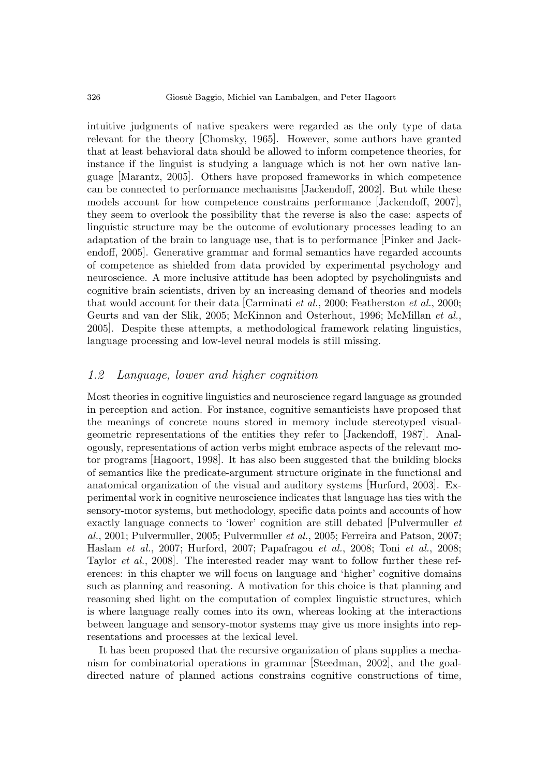intuitive judgments of native speakers were regarded as the only type of data relevant for the theory [Chomsky, 1965]. However, some authors have granted that at least behavioral data should be allowed to inform competence theories, for instance if the linguist is studying a language which is not her own native language [Marantz, 2005]. Others have proposed frameworks in which competence can be connected to performance mechanisms  $Jackendoff$ , 2002. But while these models account for how competence constrains performance  $[Jackendoff, 2007]$ , they seem to overlook the possibility that the reverse is also the case: aspects of linguistic structure may be the outcome of evolutionary processes leading to an adaptation of the brain to language use, that is to performance [Pinker and Jackendoff, 2005. Generative grammar and formal semantics have regarded accounts of competence as shielded from data provided by experimental psychology and neuroscience. A more inclusive attitude has been adopted by psycholinguists and cognitive brain scientists, driven by an increasing demand of theories and models that would account for their data [Carminati et al., 2000; Featherston et al., 2000; Geurts and van der Slik, 2005; McKinnon and Osterhout, 1996; McMillan et al., 2005]. Despite these attempts, a methodological framework relating linguistics, language processing and low-level neural models is still missing.

### 1.2 Language, lower and higher cognition

Most theories in cognitive linguistics and neuroscience regard language as grounded in perception and action. For instance, cognitive semanticists have proposed that the meanings of concrete nouns stored in memory include stereotyped visualgeometric representations of the entities they refer to [Jackendoff, 1987]. Analogously, representations of action verbs might embrace aspects of the relevant motor programs [Hagoort, 1998]. It has also been suggested that the building blocks of semantics like the predicate-argument structure originate in the functional and anatomical organization of the visual and auditory systems [Hurford, 2003]. Experimental work in cognitive neuroscience indicates that language has ties with the sensory-motor systems, but methodology, specific data points and accounts of how exactly language connects to 'lower' cognition are still debated [Pulvermuller *et* al., 2001; Pulvermuller, 2005; Pulvermuller et al., 2005; Ferreira and Patson, 2007; Haslam et al., 2007; Hurford, 2007; Papafragou et al., 2008; Toni et al., 2008; Taylor et al., 2008]. The interested reader may want to follow further these references: in this chapter we will focus on language and 'higher' cognitive domains such as planning and reasoning. A motivation for this choice is that planning and reasoning shed light on the computation of complex linguistic structures, which is where language really comes into its own, whereas looking at the interactions between language and sensory-motor systems may give us more insights into representations and processes at the lexical level.

It has been proposed that the recursive organization of plans supplies a mechanism for combinatorial operations in grammar [Steedman, 2002], and the goaldirected nature of planned actions constrains cognitive constructions of time,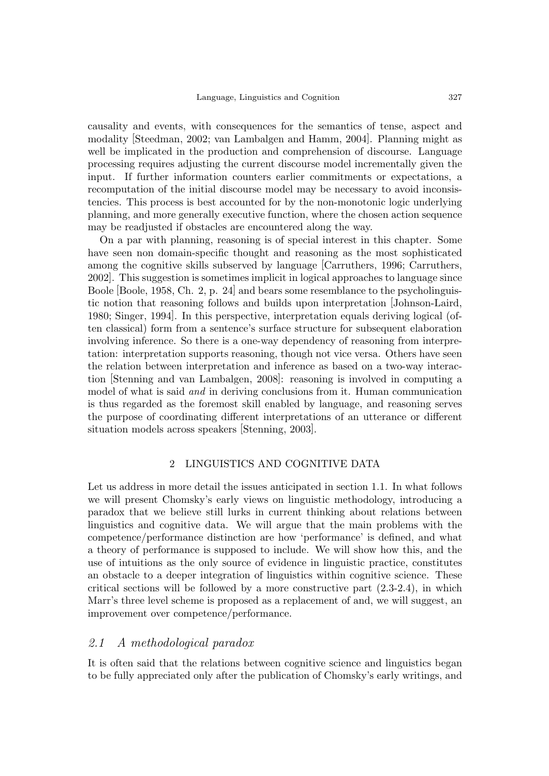causality and events, with consequences for the semantics of tense, aspect and modality [Steedman, 2002; van Lambalgen and Hamm, 2004]. Planning might as well be implicated in the production and comprehension of discourse. Language processing requires adjusting the current discourse model incrementally given the input. If further information counters earlier commitments or expectations, a recomputation of the initial discourse model may be necessary to avoid inconsistencies. This process is best accounted for by the non-monotonic logic underlying planning, and more generally executive function, where the chosen action sequence may be readjusted if obstacles are encountered along the way.

On a par with planning, reasoning is of special interest in this chapter. Some have seen non domain-specific thought and reasoning as the most sophisticated among the cognitive skills subserved by language [Carruthers, 1996; Carruthers, 2002]. This suggestion is sometimes implicit in logical approaches to language since Boole [Boole, 1958, Ch. 2, p. 24] and bears some resemblance to the psycholinguistic notion that reasoning follows and builds upon interpretation [Johnson-Laird, 1980; Singer, 1994]. In this perspective, interpretation equals deriving logical (often classical) form from a sentence's surface structure for subsequent elaboration involving inference. So there is a one-way dependency of reasoning from interpretation: interpretation supports reasoning, though not vice versa. Others have seen the relation between interpretation and inference as based on a two-way interaction [Stenning and van Lambalgen, 2008]: reasoning is involved in computing a model of what is said *and* in deriving conclusions from it. Human communication is thus regarded as the foremost skill enabled by language, and reasoning serves the purpose of coordinating different interpretations of an utterance or different situation models across speakers [Stenning, 2003].

### 2 LINGUISTICS AND COGNITIVE DATA

Let us address in more detail the issues anticipated in section 1.1. In what follows we will present Chomsky's early views on linguistic methodology, introducing a paradox that we believe still lurks in current thinking about relations between linguistics and cognitive data. We will argue that the main problems with the competence/performance distinction are how 'performance' is defined, and what a theory of performance is supposed to include. We will show how this, and the use of intuitions as the only source of evidence in linguistic practice, constitutes an obstacle to a deeper integration of linguistics within cognitive science. These critical sections will be followed by a more constructive part (2.3-2.4), in which Marr's three level scheme is proposed as a replacement of and, we will suggest, an improvement over competence/performance.

### 2.1 A methodological paradox

It is often said that the relations between cognitive science and linguistics began to be fully appreciated only after the publication of Chomsky's early writings, and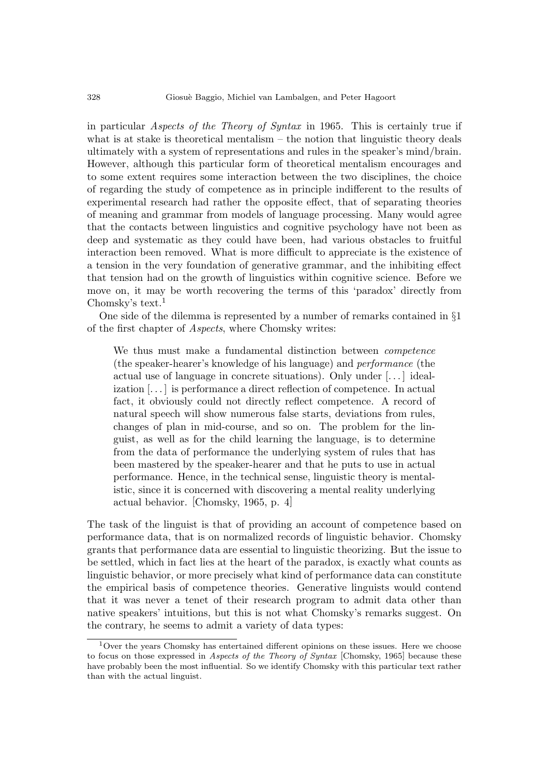in particular Aspects of the Theory of Syntax in 1965. This is certainly true if what is at stake is theoretical mentalism  $-$  the notion that linguistic theory deals ultimately with a system of representations and rules in the speaker's mind/brain. However, although this particular form of theoretical mentalism encourages and to some extent requires some interaction between the two disciplines, the choice of regarding the study of competence as in principle indifferent to the results of experimental research had rather the opposite effect, that of separating theories of meaning and grammar from models of language processing. Many would agree that the contacts between linguistics and cognitive psychology have not been as deep and systematic as they could have been, had various obstacles to fruitful interaction been removed. What is more difficult to appreciate is the existence of a tension in the very foundation of generative grammar, and the inhibiting effect that tension had on the growth of linguistics within cognitive science. Before we move on, it may be worth recovering the terms of this 'paradox' directly from Chomsky's text.<sup>1</sup>

One side of the dilemma is represented by a number of remarks contained in *§*1 of the first chapter of Aspects, where Chomsky writes:

We thus must make a fundamental distinction between *competence* (the speaker-hearer's knowledge of his language) and performance (the actual use of language in concrete situations). Only under [. . . ] idealization [. . . ] is performance a direct reflection of competence. In actual fact, it obviously could not directly reflect competence. A record of natural speech will show numerous false starts, deviations from rules, changes of plan in mid-course, and so on. The problem for the linguist, as well as for the child learning the language, is to determine from the data of performance the underlying system of rules that has been mastered by the speaker-hearer and that he puts to use in actual performance. Hence, in the technical sense, linguistic theory is mentalistic, since it is concerned with discovering a mental reality underlying actual behavior. [Chomsky, 1965, p. 4]

The task of the linguist is that of providing an account of competence based on performance data, that is on normalized records of linguistic behavior. Chomsky grants that performance data are essential to linguistic theorizing. But the issue to be settled, which in fact lies at the heart of the paradox, is exactly what counts as linguistic behavior, or more precisely what kind of performance data can constitute the empirical basis of competence theories. Generative linguists would contend that it was never a tenet of their research program to admit data other than native speakers' intuitions, but this is not what Chomsky's remarks suggest. On the contrary, he seems to admit a variety of data types:

 $1$ Over the years Chomsky has entertained different opinions on these issues. Here we choose to focus on those expressed in Aspects of the Theory of Syntax [Chomsky, 1965] because these have probably been the most influential. So we identify Chomsky with this particular text rather than with the actual linguist.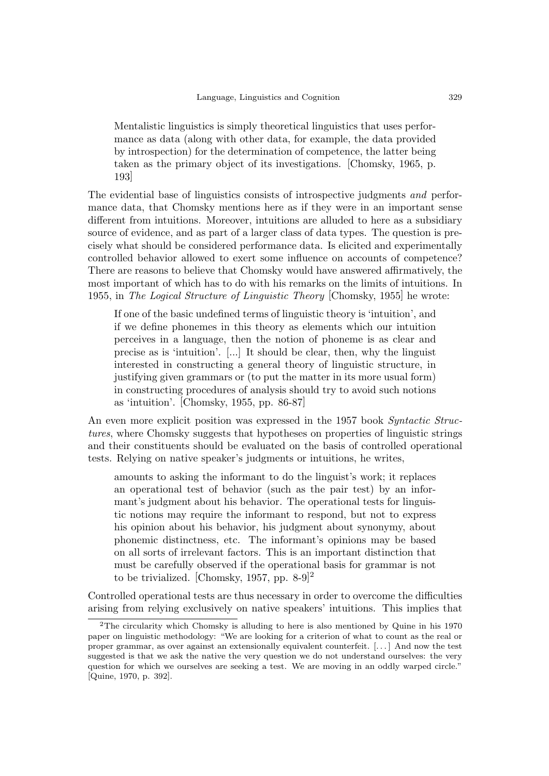Mentalistic linguistics is simply theoretical linguistics that uses performance as data (along with other data, for example, the data provided by introspection) for the determination of competence, the latter being taken as the primary object of its investigations. [Chomsky, 1965, p. 193]

The evidential base of linguistics consists of introspective judgments and performance data, that Chomsky mentions here as if they were in an important sense different from intuitions. Moreover, intuitions are alluded to here as a subsidiary source of evidence, and as part of a larger class of data types. The question is precisely what should be considered performance data. Is elicited and experimentally controlled behavior allowed to exert some influence on accounts of competence? There are reasons to believe that Chomsky would have answered affirmatively, the most important of which has to do with his remarks on the limits of intuitions. In 1955, in The Logical Structure of Linguistic Theory [Chomsky, 1955] he wrote:

If one of the basic undefined terms of linguistic theory is 'intuition', and if we define phonemes in this theory as elements which our intuition perceives in a language, then the notion of phoneme is as clear and precise as is 'intuition'. [...] It should be clear, then, why the linguist interested in constructing a general theory of linguistic structure, in justifying given grammars or (to put the matter in its more usual form) in constructing procedures of analysis should try to avoid such notions as 'intuition'. [Chomsky, 1955, pp. 86-87]

An even more explicit position was expressed in the 1957 book Syntactic Structures, where Chomsky suggests that hypotheses on properties of linguistic strings and their constituents should be evaluated on the basis of controlled operational tests. Relying on native speaker's judgments or intuitions, he writes,

amounts to asking the informant to do the linguist's work; it replaces an operational test of behavior (such as the pair test) by an informant's judgment about his behavior. The operational tests for linguistic notions may require the informant to respond, but not to express his opinion about his behavior, his judgment about synonymy, about phonemic distinctness, etc. The informant's opinions may be based on all sorts of irrelevant factors. This is an important distinction that must be carefully observed if the operational basis for grammar is not to be trivialized. [Chomsky, 1957, pp.  $8-9$ ]<sup>2</sup>

Controlled operational tests are thus necessary in order to overcome the difficulties arising from relying exclusively on native speakers' intuitions. This implies that

 $2$ The circularity which Chomsky is alluding to here is also mentioned by Quine in his 1970 paper on linguistic methodology: "We are looking for a criterion of what to count as the real or proper grammar, as over against an extensionally equivalent counterfeit. [. . . ] And now the test suggested is that we ask the native the very question we do not understand ourselves: the very question for which we ourselves are seeking a test. We are moving in an oddly warped circle." [Quine, 1970, p. 392].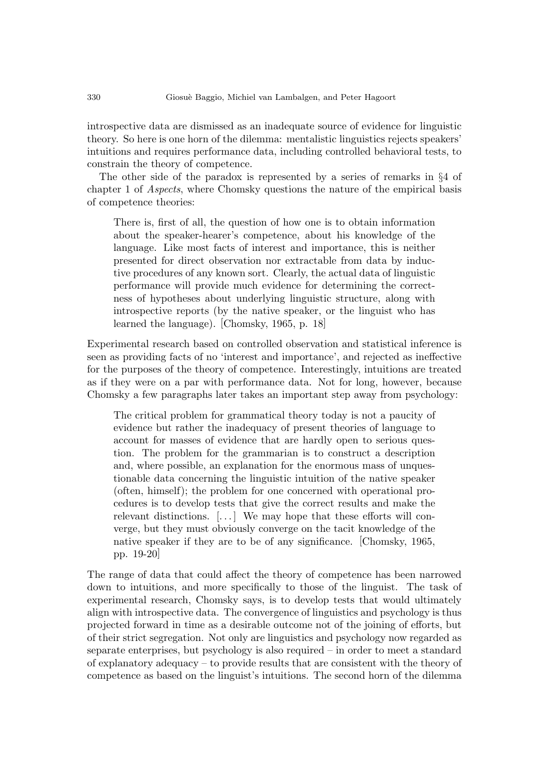introspective data are dismissed as an inadequate source of evidence for linguistic theory. So here is one horn of the dilemma: mentalistic linguistics rejects speakers' intuitions and requires performance data, including controlled behavioral tests, to constrain the theory of competence.

The other side of the paradox is represented by a series of remarks in *§*4 of chapter 1 of Aspects, where Chomsky questions the nature of the empirical basis of competence theories:

There is, first of all, the question of how one is to obtain information about the speaker-hearer's competence, about his knowledge of the language. Like most facts of interest and importance, this is neither presented for direct observation nor extractable from data by inductive procedures of any known sort. Clearly, the actual data of linguistic performance will provide much evidence for determining the correctness of hypotheses about underlying linguistic structure, along with introspective reports (by the native speaker, or the linguist who has learned the language). [Chomsky, 1965, p. 18]

Experimental research based on controlled observation and statistical inference is seen as providing facts of no 'interest and importance', and rejected as ineffective for the purposes of the theory of competence. Interestingly, intuitions are treated as if they were on a par with performance data. Not for long, however, because Chomsky a few paragraphs later takes an important step away from psychology:

The critical problem for grammatical theory today is not a paucity of evidence but rather the inadequacy of present theories of language to account for masses of evidence that are hardly open to serious question. The problem for the grammarian is to construct a description and, where possible, an explanation for the enormous mass of unquestionable data concerning the linguistic intuition of the native speaker (often, himself); the problem for one concerned with operational procedures is to develop tests that give the correct results and make the relevant distinctions.  $[...]$  We may hope that these efforts will converge, but they must obviously converge on the tacit knowledge of the native speaker if they are to be of any significance. [Chomsky, 1965, pp. 19-20]

The range of data that could affect the theory of competence has been narrowed down to intuitions, and more specifically to those of the linguist. The task of experimental research, Chomsky says, is to develop tests that would ultimately align with introspective data. The convergence of linguistics and psychology is thus projected forward in time as a desirable outcome not of the joining of efforts, but of their strict segregation. Not only are linguistics and psychology now regarded as separate enterprises, but psychology is also required – in order to meet a standard of explanatory adequacy – to provide results that are consistent with the theory of competence as based on the linguist's intuitions. The second horn of the dilemma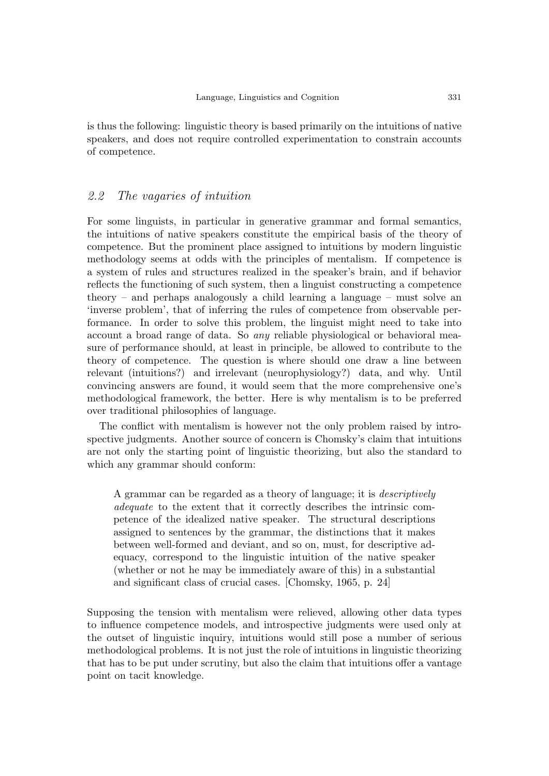is thus the following: linguistic theory is based primarily on the intuitions of native speakers, and does not require controlled experimentation to constrain accounts of competence.

# 2.2 The vagaries of intuition

For some linguists, in particular in generative grammar and formal semantics, the intuitions of native speakers constitute the empirical basis of the theory of competence. But the prominent place assigned to intuitions by modern linguistic methodology seems at odds with the principles of mentalism. If competence is a system of rules and structures realized in the speaker's brain, and if behavior reflects the functioning of such system, then a linguist constructing a competence theory – and perhaps analogously a child learning a language – must solve an 'inverse problem', that of inferring the rules of competence from observable performance. In order to solve this problem, the linguist might need to take into account a broad range of data. So any reliable physiological or behavioral measure of performance should, at least in principle, be allowed to contribute to the theory of competence. The question is where should one draw a line between relevant (intuitions?) and irrelevant (neurophysiology?) data, and why. Until convincing answers are found, it would seem that the more comprehensive one's methodological framework, the better. Here is why mentalism is to be preferred over traditional philosophies of language.

The conflict with mentalism is however not the only problem raised by introspective judgments. Another source of concern is Chomsky's claim that intuitions are not only the starting point of linguistic theorizing, but also the standard to which any grammar should conform:

A grammar can be regarded as a theory of language; it is descriptively adequate to the extent that it correctly describes the intrinsic competence of the idealized native speaker. The structural descriptions assigned to sentences by the grammar, the distinctions that it makes between well-formed and deviant, and so on, must, for descriptive adequacy, correspond to the linguistic intuition of the native speaker (whether or not he may be immediately aware of this) in a substantial and significant class of crucial cases. [Chomsky, 1965, p. 24]

Supposing the tension with mentalism were relieved, allowing other data types to influence competence models, and introspective judgments were used only at the outset of linguistic inquiry, intuitions would still pose a number of serious methodological problems. It is not just the role of intuitions in linguistic theorizing that has to be put under scrutiny, but also the claim that intuitions offer a vantage point on tacit knowledge.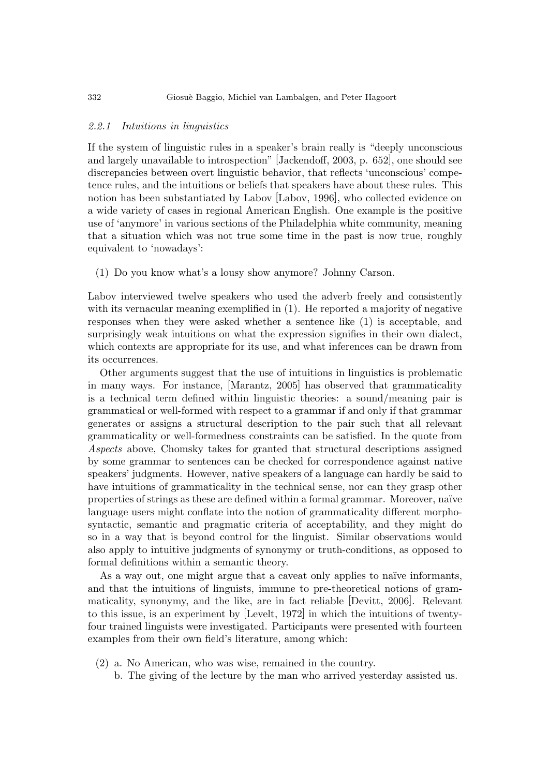#### 2.2.1 Intuitions in linguistics

If the system of linguistic rules in a speaker's brain really is "deeply unconscious and largely unavailable to introspection"  $[Jackendorf, 2003, p. 652]$ , one should see discrepancies between overt linguistic behavior, that reflects 'unconscious' competence rules, and the intuitions or beliefs that speakers have about these rules. This notion has been substantiated by Labov [Labov, 1996], who collected evidence on a wide variety of cases in regional American English. One example is the positive use of 'anymore' in various sections of the Philadelphia white community, meaning that a situation which was not true some time in the past is now true, roughly equivalent to 'nowadays':

(1) Do you know what's a lousy show anymore? Johnny Carson.

Labov interviewed twelve speakers who used the adverb freely and consistently with its vernacular meaning exemplified in (1). He reported a majority of negative responses when they were asked whether a sentence like (1) is acceptable, and surprisingly weak intuitions on what the expression signifies in their own dialect, which contexts are appropriate for its use, and what inferences can be drawn from its occurrences.

Other arguments suggest that the use of intuitions in linguistics is problematic in many ways. For instance, [Marantz, 2005] has observed that grammaticality is a technical term defined within linguistic theories: a sound/meaning pair is grammatical or well-formed with respect to a grammar if and only if that grammar generates or assigns a structural description to the pair such that all relevant grammaticality or well-formedness constraints can be satisfied. In the quote from Aspects above, Chomsky takes for granted that structural descriptions assigned by some grammar to sentences can be checked for correspondence against native speakers' judgments. However, native speakers of a language can hardly be said to have intuitions of grammaticality in the technical sense, nor can they grasp other properties of strings as these are defined within a formal grammar. Moreover, na¨ıve language users might conflate into the notion of grammaticality different morphosyntactic, semantic and pragmatic criteria of acceptability, and they might do so in a way that is beyond control for the linguist. Similar observations would also apply to intuitive judgments of synonymy or truth-conditions, as opposed to formal definitions within a semantic theory.

As a way out, one might argue that a caveat only applies to naïve informants, and that the intuitions of linguists, immune to pre-theoretical notions of grammaticality, synonymy, and the like, are in fact reliable [Devitt, 2006]. Relevant to this issue, is an experiment by [Levelt, 1972] in which the intuitions of twentyfour trained linguists were investigated. Participants were presented with fourteen examples from their own field's literature, among which:

- (2) a. No American, who was wise, remained in the country.
	- b. The giving of the lecture by the man who arrived yesterday assisted us.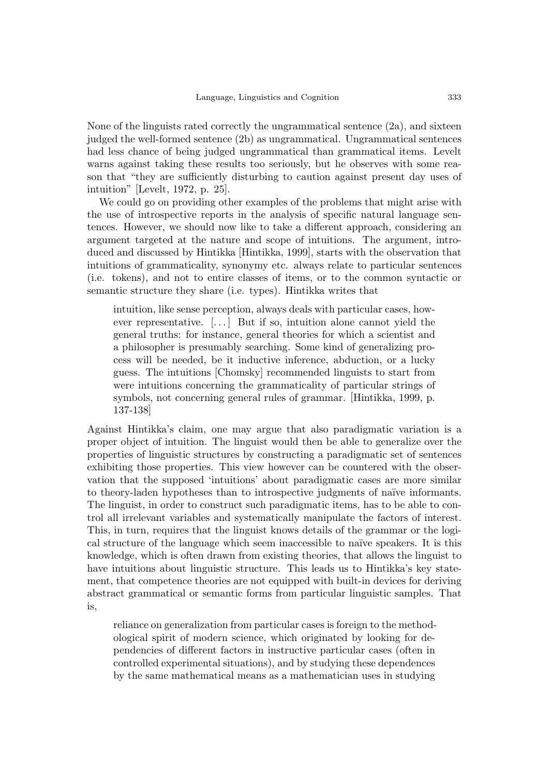None of the linguists rated correctly the ungrammatical sentence (2a), and sixteen judged the well-formed sentence (2b) as ungrammatical. Ungrammatical sentences had less chance of being judged ungrammatical than grammatical items. Levelt warns against taking these results too seriously, but he observes with some reason that "they are sufficiently disturbing to caution against present day uses of intuition" [Levelt, 1972, p. 25].

We could go on providing other examples of the problems that might arise with the use of introspective reports in the analysis of specific natural language sentences. However, we should now like to take a different approach, considering an argument targeted at the nature and scope of intuitions. The argument, introduced and discussed by Hintikka [Hintikka, 1999], starts with the observation that intuitions of grammaticality, synonymy etc. always relate to particular sentences (i.e. tokens), and not to entire classes of items, or to the common syntactic or semantic structure they share (i.e. types). Hintikka writes that

intuition, like sense perception, always deals with particular cases, however representative. [. . . ] But if so, intuition alone cannot yield the general truths: for instance, general theories for which a scientist and a philosopher is presumably searching. Some kind of generalizing process will be needed, be it inductive inference, abduction, or a lucky guess. The intuitions [Chomsky] recommended linguists to start from were intuitions concerning the grammaticality of particular strings of symbols, not concerning general rules of grammar. [Hintikka, 1999, p. 137-138]

Against Hintikka's claim, one may argue that also paradigmatic variation is a proper object of intuition. The linguist would then be able to generalize over the properties of linguistic structures by constructing a paradigmatic set of sentences exhibiting those properties. This view however can be countered with the observation that the supposed 'intuitions' about paradigmatic cases are more similar to theory-laden hypotheses than to introspective judgments of naïve informants. The linguist, in order to construct such paradigmatic items, has to be able to control all irrelevant variables and systematically manipulate the factors of interest. This, in turn, requires that the linguist knows details of the grammar or the logical structure of the language which seem inaccessible to naïve speakers. It is this knowledge, which is often drawn from existing theories, that allows the linguist to have intuitions about linguistic structure. This leads us to Hintikka's key statement, that competence theories are not equipped with built-in devices for deriving abstract grammatical or semantic forms from particular linguistic samples. That is,

reliance on generalization from particular cases is foreign to the methodological spirit of modern science, which originated by looking for dependencies of different factors in instructive particular cases (often in controlled experimental situations), and by studying these dependences by the same mathematical means as a mathematician uses in studying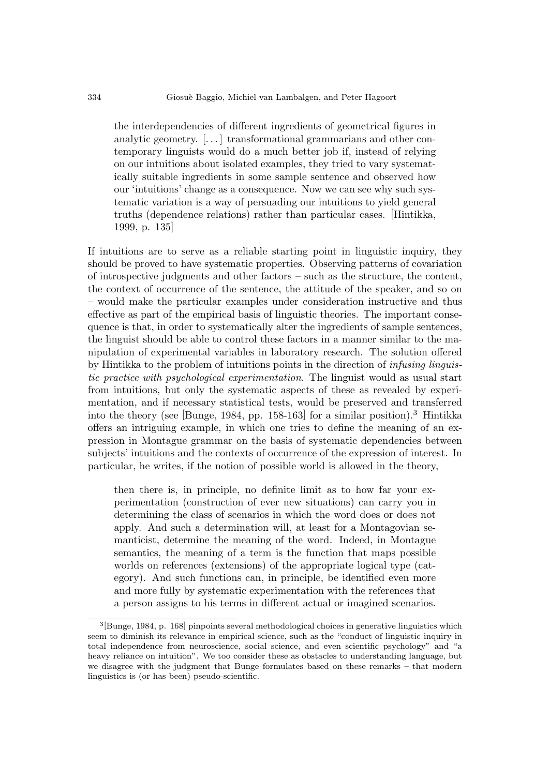the interdependencies of different ingredients of geometrical figures in analytic geometry. [. . . ] transformational grammarians and other contemporary linguists would do a much better job if, instead of relying on our intuitions about isolated examples, they tried to vary systematically suitable ingredients in some sample sentence and observed how our 'intuitions' change as a consequence. Now we can see why such systematic variation is a way of persuading our intuitions to yield general truths (dependence relations) rather than particular cases. [Hintikka, 1999, p. 135]

If intuitions are to serve as a reliable starting point in linguistic inquiry, they should be proved to have systematic properties. Observing patterns of covariation of introspective judgments and other factors – such as the structure, the content, the context of occurrence of the sentence, the attitude of the speaker, and so on – would make the particular examples under consideration instructive and thus effective as part of the empirical basis of linguistic theories. The important consequence is that, in order to systematically alter the ingredients of sample sentences, the linguist should be able to control these factors in a manner similar to the manipulation of experimental variables in laboratory research. The solution offered by Hintikka to the problem of intuitions points in the direction of infusing linguistic practice with psychological experimentation. The linguist would as usual start from intuitions, but only the systematic aspects of these as revealed by experimentation, and if necessary statistical tests, would be preserved and transferred into the theory (see [Bunge, 1984, pp. 158-163] for a similar position).<sup>3</sup> Hintikka offers an intriguing example, in which one tries to define the meaning of an expression in Montague grammar on the basis of systematic dependencies between subjects' intuitions and the contexts of occurrence of the expression of interest. In particular, he writes, if the notion of possible world is allowed in the theory,

then there is, in principle, no definite limit as to how far your experimentation (construction of ever new situations) can carry you in determining the class of scenarios in which the word does or does not apply. And such a determination will, at least for a Montagovian semanticist, determine the meaning of the word. Indeed, in Montague semantics, the meaning of a term is the function that maps possible worlds on references (extensions) of the appropriate logical type (category). And such functions can, in principle, be identified even more and more fully by systematic experimentation with the references that a person assigns to his terms in different actual or imagined scenarios.

 $3$ [Bunge, 1984, p. 168] pinpoints several methodological choices in generative linguistics which seem to diminish its relevance in empirical science, such as the "conduct of linguistic inquiry in total independence from neuroscience, social science, and even scientific psychology" and "a heavy reliance on intuition". We too consider these as obstacles to understanding language, but we disagree with the judgment that Bunge formulates based on these remarks – that modern linguistics is (or has been) pseudo-scientific.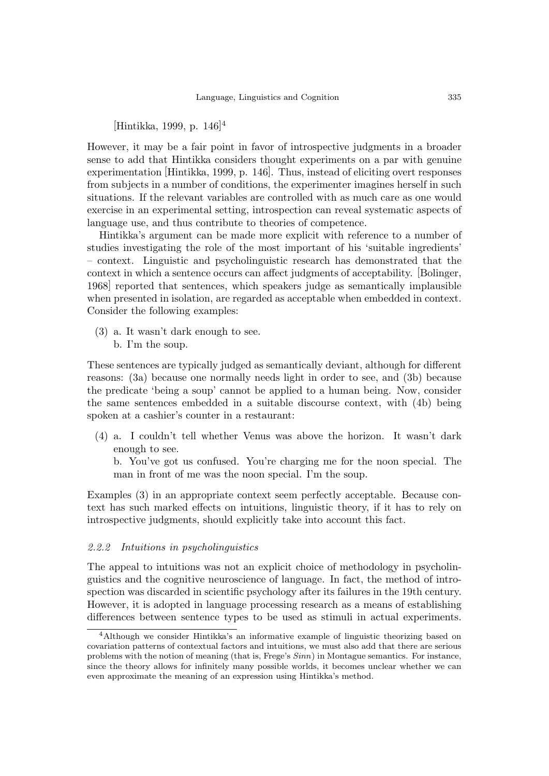[Hintikka, 1999, p. 146]<sup>4</sup>

However, it may be a fair point in favor of introspective judgments in a broader sense to add that Hintikka considers thought experiments on a par with genuine experimentation [Hintikka, 1999, p. 146]. Thus, instead of eliciting overt responses from subjects in a number of conditions, the experimenter imagines herself in such situations. If the relevant variables are controlled with as much care as one would exercise in an experimental setting, introspection can reveal systematic aspects of language use, and thus contribute to theories of competence.

Hintikka's argument can be made more explicit with reference to a number of studies investigating the role of the most important of his 'suitable ingredients' – context. Linguistic and psycholinguistic research has demonstrated that the context in which a sentence occurs can affect judgments of acceptability. [Bolinger, 1968] reported that sentences, which speakers judge as semantically implausible when presented in isolation, are regarded as acceptable when embedded in context. Consider the following examples:

(3) a. It wasn't dark enough to see. b. I'm the soup.

These sentences are typically judged as semantically deviant, although for different reasons: (3a) because one normally needs light in order to see, and (3b) because the predicate 'being a soup' cannot be applied to a human being. Now, consider the same sentences embedded in a suitable discourse context, with (4b) being spoken at a cashier's counter in a restaurant:

(4) a. I couldn't tell whether Venus was above the horizon. It wasn't dark enough to see.

b. You've got us confused. You're charging me for the noon special. The man in front of me was the noon special. I'm the soup.

Examples (3) in an appropriate context seem perfectly acceptable. Because context has such marked effects on intuitions, linguistic theory, if it has to rely on introspective judgments, should explicitly take into account this fact.

#### 2.2.2 Intuitions in psycholinguistics

The appeal to intuitions was not an explicit choice of methodology in psycholinguistics and the cognitive neuroscience of language. In fact, the method of introspection was discarded in scientific psychology after its failures in the 19th century. However, it is adopted in language processing research as a means of establishing differences between sentence types to be used as stimuli in actual experiments.

<sup>4</sup>Although we consider Hintikka's an informative example of linguistic theorizing based on covariation patterns of contextual factors and intuitions, we must also add that there are serious problems with the notion of meaning (that is, Frege's Sinn) in Montague semantics. For instance, since the theory allows for infinitely many possible worlds, it becomes unclear whether we can even approximate the meaning of an expression using Hintikka's method.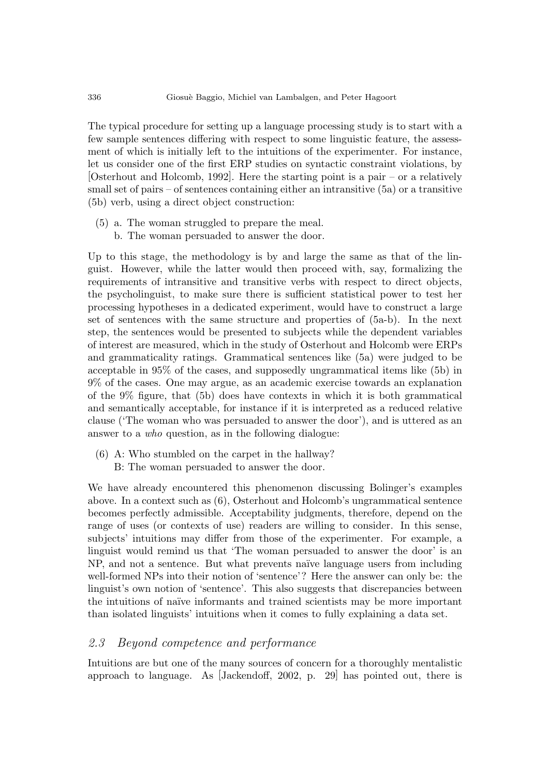The typical procedure for setting up a language processing study is to start with a few sample sentences differing with respect to some linguistic feature, the assessment of which is initially left to the intuitions of the experimenter. For instance, let us consider one of the first ERP studies on syntactic constraint violations, by [Osterhout and Holcomb, 1992]. Here the starting point is a pair – or a relatively small set of pairs – of sentences containing either an intransitive (5a) or a transitive (5b) verb, using a direct object construction:

- (5) a. The woman struggled to prepare the meal.
	- b. The woman persuaded to answer the door.

Up to this stage, the methodology is by and large the same as that of the linguist. However, while the latter would then proceed with, say, formalizing the requirements of intransitive and transitive verbs with respect to direct objects, the psycholinguist, to make sure there is sufficient statistical power to test her processing hypotheses in a dedicated experiment, would have to construct a large set of sentences with the same structure and properties of (5a-b). In the next step, the sentences would be presented to subjects while the dependent variables of interest are measured, which in the study of Osterhout and Holcomb were ERPs and grammaticality ratings. Grammatical sentences like (5a) were judged to be acceptable in 95% of the cases, and supposedly ungrammatical items like (5b) in 9% of the cases. One may argue, as an academic exercise towards an explanation of the 9% figure, that (5b) does have contexts in which it is both grammatical and semantically acceptable, for instance if it is interpreted as a reduced relative clause ('The woman who was persuaded to answer the door'), and is uttered as an answer to a who question, as in the following dialogue:

- (6) A: Who stumbled on the carpet in the hallway?
	- B: The woman persuaded to answer the door.

We have already encountered this phenomenon discussing Bolinger's examples above. In a context such as (6), Osterhout and Holcomb's ungrammatical sentence becomes perfectly admissible. Acceptability judgments, therefore, depend on the range of uses (or contexts of use) readers are willing to consider. In this sense, subjects' intuitions may differ from those of the experimenter. For example, a linguist would remind us that 'The woman persuaded to answer the door' is an NP, and not a sentence. But what prevents na¨ıve language users from including well-formed NPs into their notion of 'sentence'? Here the answer can only be: the linguist's own notion of 'sentence'. This also suggests that discrepancies between the intuitions of na¨ıve informants and trained scientists may be more important than isolated linguists' intuitions when it comes to fully explaining a data set.

# 2.3 Beyond competence and performance

Intuitions are but one of the many sources of concern for a thoroughly mentalistic approach to language. As  $[Jackendorf, 2002, p. 29]$  has pointed out, there is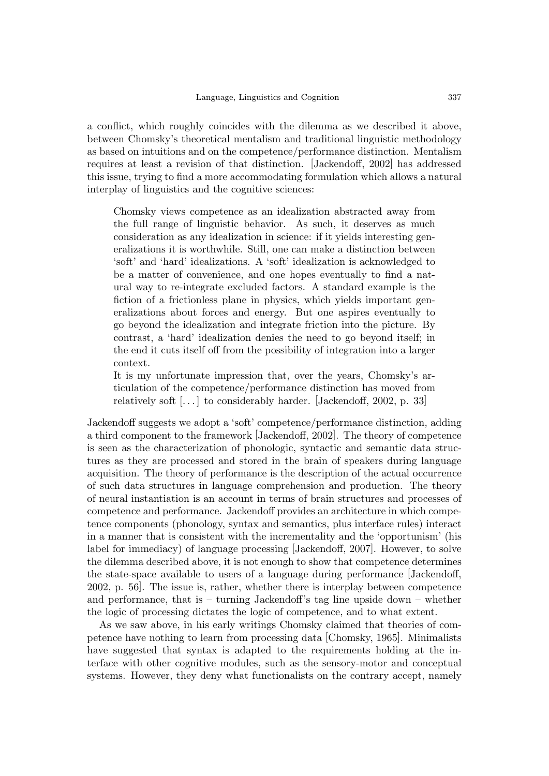a conflict, which roughly coincides with the dilemma as we described it above, between Chomsky's theoretical mentalism and traditional linguistic methodology as based on intuitions and on the competence/performance distinction. Mentalism requires at least a revision of that distinction. [Jackendoff, 2002] has addressed this issue, trying to find a more accommodating formulation which allows a natural interplay of linguistics and the cognitive sciences:

Chomsky views competence as an idealization abstracted away from the full range of linguistic behavior. As such, it deserves as much consideration as any idealization in science: if it yields interesting generalizations it is worthwhile. Still, one can make a distinction between 'soft' and 'hard' idealizations. A 'soft' idealization is acknowledged to be a matter of convenience, and one hopes eventually to find a natural way to re-integrate excluded factors. A standard example is the fiction of a frictionless plane in physics, which yields important generalizations about forces and energy. But one aspires eventually to go beyond the idealization and integrate friction into the picture. By contrast, a 'hard' idealization denies the need to go beyond itself; in the end it cuts itself off from the possibility of integration into a larger context.

It is my unfortunate impression that, over the years, Chomsky's articulation of the competence/performance distinction has moved from relatively soft  $\left[\ldots\right]$  to considerably harder. [Jackendoff, 2002, p. 33]

Jackendoff suggests we adopt a 'soft' competence/performance distinction, adding a third component to the framework  $Jackendoff, 2002$ . The theory of competence is seen as the characterization of phonologic, syntactic and semantic data structures as they are processed and stored in the brain of speakers during language acquisition. The theory of performance is the description of the actual occurrence of such data structures in language comprehension and production. The theory of neural instantiation is an account in terms of brain structures and processes of competence and performance. Jackendoff provides an architecture in which competence components (phonology, syntax and semantics, plus interface rules) interact in a manner that is consistent with the incrementality and the 'opportunism' (his label for immediacy) of language processing [Jackendoff, 2007]. However, to solve the dilemma described above, it is not enough to show that competence determines the state-space available to users of a language during performance  $Jackendoff$ , 2002, p. 56]. The issue is, rather, whether there is interplay between competence and performance, that is – turning Jackendoff's tag line upside down – whether the logic of processing dictates the logic of competence, and to what extent.

As we saw above, in his early writings Chomsky claimed that theories of competence have nothing to learn from processing data [Chomsky, 1965]. Minimalists have suggested that syntax is adapted to the requirements holding at the interface with other cognitive modules, such as the sensory-motor and conceptual systems. However, they deny what functionalists on the contrary accept, namely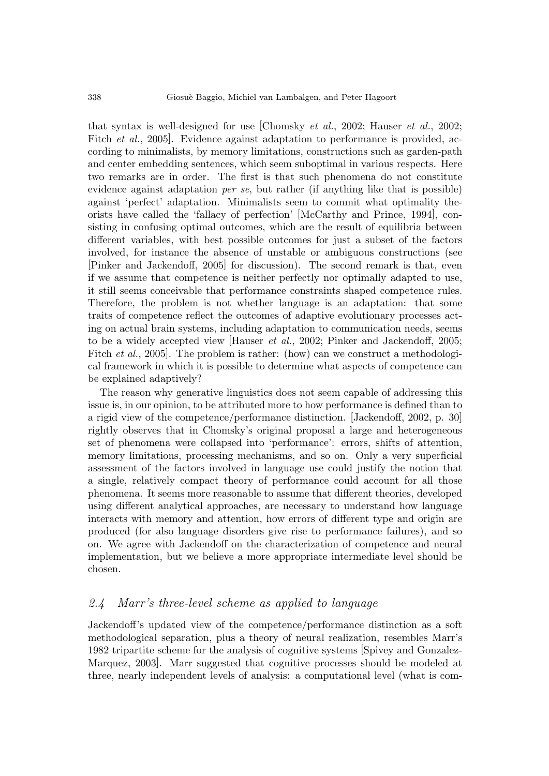that syntax is well-designed for use [Chomsky et al., 2002; Hauser et al., 2002; Fitch *et al.*, 2005. Evidence against adaptation to performance is provided, according to minimalists, by memory limitations, constructions such as garden-path and center embedding sentences, which seem suboptimal in various respects. Here two remarks are in order. The first is that such phenomena do not constitute evidence against adaptation *per se*, but rather (if anything like that is possible) against 'perfect' adaptation. Minimalists seem to commit what optimality theorists have called the 'fallacy of perfection' [McCarthy and Prince, 1994], consisting in confusing optimal outcomes, which are the result of equilibria between different variables, with best possible outcomes for just a subset of the factors involved, for instance the absence of unstable or ambiguous constructions (see [Pinker and Jackendo↵, 2005] for discussion). The second remark is that, even if we assume that competence is neither perfectly nor optimally adapted to use, it still seems conceivable that performance constraints shaped competence rules. Therefore, the problem is not whether language is an adaptation: that some traits of competence reflect the outcomes of adaptive evolutionary processes acting on actual brain systems, including adaptation to communication needs, seems to be a widely accepted view  $[Hauser et al., 2002; Pinker and Jackendorff, 2005;$ Fitch *et al.*, 2005. The problem is rather: (how) can we construct a methodological framework in which it is possible to determine what aspects of competence can be explained adaptively?

The reason why generative linguistics does not seem capable of addressing this issue is, in our opinion, to be attributed more to how performance is defined than to a rigid view of the competence/performance distinction. [Jackendoff, 2002, p. 30] rightly observes that in Chomsky's original proposal a large and heterogeneous set of phenomena were collapsed into 'performance': errors, shifts of attention, memory limitations, processing mechanisms, and so on. Only a very superficial assessment of the factors involved in language use could justify the notion that a single, relatively compact theory of performance could account for all those phenomena. It seems more reasonable to assume that different theories, developed using different analytical approaches, are necessary to understand how language interacts with memory and attention, how errors of different type and origin are produced (for also language disorders give rise to performance failures), and so on. We agree with Jackendoff on the characterization of competence and neural implementation, but we believe a more appropriate intermediate level should be chosen.

# 2.4 Marr's three-level scheme as applied to language

Jackendoff's updated view of the competence/performance distinction as a soft methodological separation, plus a theory of neural realization, resembles Marr's 1982 tripartite scheme for the analysis of cognitive systems [Spivey and Gonzalez-Marquez, 2003]. Marr suggested that cognitive processes should be modeled at three, nearly independent levels of analysis: a computational level (what is com-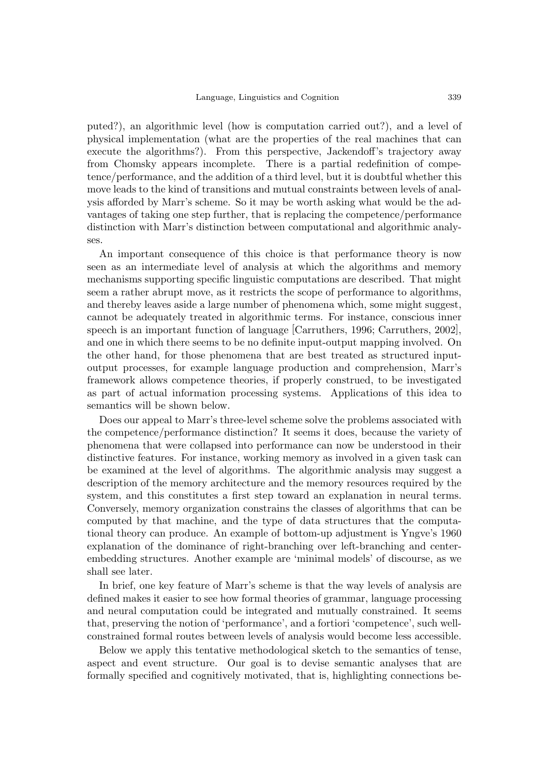puted?), an algorithmic level (how is computation carried out?), and a level of physical implementation (what are the properties of the real machines that can execute the algorithms?). From this perspective, Jackendoff's trajectory away from Chomsky appears incomplete. There is a partial redefinition of competence/performance, and the addition of a third level, but it is doubtful whether this move leads to the kind of transitions and mutual constraints between levels of analysis afforded by Marr's scheme. So it may be worth asking what would be the advantages of taking one step further, that is replacing the competence/performance distinction with Marr's distinction between computational and algorithmic analyses.

An important consequence of this choice is that performance theory is now seen as an intermediate level of analysis at which the algorithms and memory mechanisms supporting specific linguistic computations are described. That might seem a rather abrupt move, as it restricts the scope of performance to algorithms, and thereby leaves aside a large number of phenomena which, some might suggest, cannot be adequately treated in algorithmic terms. For instance, conscious inner speech is an important function of language [Carruthers, 1996; Carruthers, 2002], and one in which there seems to be no definite input-output mapping involved. On the other hand, for those phenomena that are best treated as structured inputoutput processes, for example language production and comprehension, Marr's framework allows competence theories, if properly construed, to be investigated as part of actual information processing systems. Applications of this idea to semantics will be shown below.

Does our appeal to Marr's three-level scheme solve the problems associated with the competence/performance distinction? It seems it does, because the variety of phenomena that were collapsed into performance can now be understood in their distinctive features. For instance, working memory as involved in a given task can be examined at the level of algorithms. The algorithmic analysis may suggest a description of the memory architecture and the memory resources required by the system, and this constitutes a first step toward an explanation in neural terms. Conversely, memory organization constrains the classes of algorithms that can be computed by that machine, and the type of data structures that the computational theory can produce. An example of bottom-up adjustment is Yngve's 1960 explanation of the dominance of right-branching over left-branching and centerembedding structures. Another example are 'minimal models' of discourse, as we shall see later.

In brief, one key feature of Marr's scheme is that the way levels of analysis are defined makes it easier to see how formal theories of grammar, language processing and neural computation could be integrated and mutually constrained. It seems that, preserving the notion of 'performance', and a fortiori 'competence', such wellconstrained formal routes between levels of analysis would become less accessible.

Below we apply this tentative methodological sketch to the semantics of tense, aspect and event structure. Our goal is to devise semantic analyses that are formally specified and cognitively motivated, that is, highlighting connections be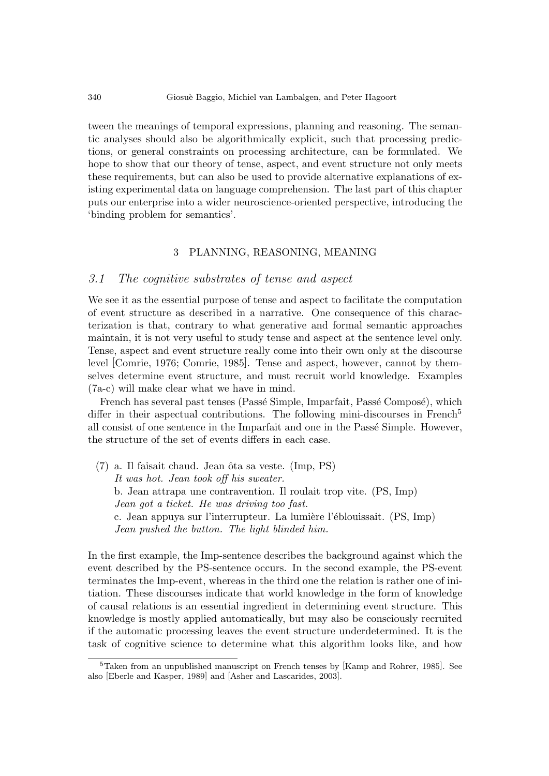tween the meanings of temporal expressions, planning and reasoning. The semantic analyses should also be algorithmically explicit, such that processing predictions, or general constraints on processing architecture, can be formulated. We hope to show that our theory of tense, aspect, and event structure not only meets these requirements, but can also be used to provide alternative explanations of existing experimental data on language comprehension. The last part of this chapter puts our enterprise into a wider neuroscience-oriented perspective, introducing the 'binding problem for semantics'.

#### 3 PLANNING, REASONING, MEANING

# 3.1 The cognitive substrates of tense and aspect

We see it as the essential purpose of tense and aspect to facilitate the computation of event structure as described in a narrative. One consequence of this characterization is that, contrary to what generative and formal semantic approaches maintain, it is not very useful to study tense and aspect at the sentence level only. Tense, aspect and event structure really come into their own only at the discourse level [Comrie, 1976; Comrie, 1985]. Tense and aspect, however, cannot by themselves determine event structure, and must recruit world knowledge. Examples (7a-c) will make clear what we have in mind.

French has several past tenses (Passé Simple, Imparfait, Passé Composé), which differ in their aspectual contributions. The following mini-discourses in French<sup>5</sup> all consist of one sentence in the Imparfait and one in the Passé Simple. However, the structure of the set of events differs in each case.

 $(7)$  a. Il faisait chaud. Jean ôta sa veste. (Imp, PS) It was hot. Jean took off his sweater. b. Jean attrapa une contravention. Il roulait trop vite. (PS, Imp) Jean got a ticket. He was driving too fast. c. Jean appuya sur l'interrupteur. La lumière l'éblouissait. (PS, Imp) Jean pushed the button. The light blinded him.

In the first example, the Imp-sentence describes the background against which the event described by the PS-sentence occurs. In the second example, the PS-event terminates the Imp-event, whereas in the third one the relation is rather one of initiation. These discourses indicate that world knowledge in the form of knowledge of causal relations is an essential ingredient in determining event structure. This knowledge is mostly applied automatically, but may also be consciously recruited if the automatic processing leaves the event structure underdetermined. It is the task of cognitive science to determine what this algorithm looks like, and how

<sup>5</sup>Taken from an unpublished manuscript on French tenses by [Kamp and Rohrer, 1985]. See also [Eberle and Kasper, 1989] and [Asher and Lascarides, 2003].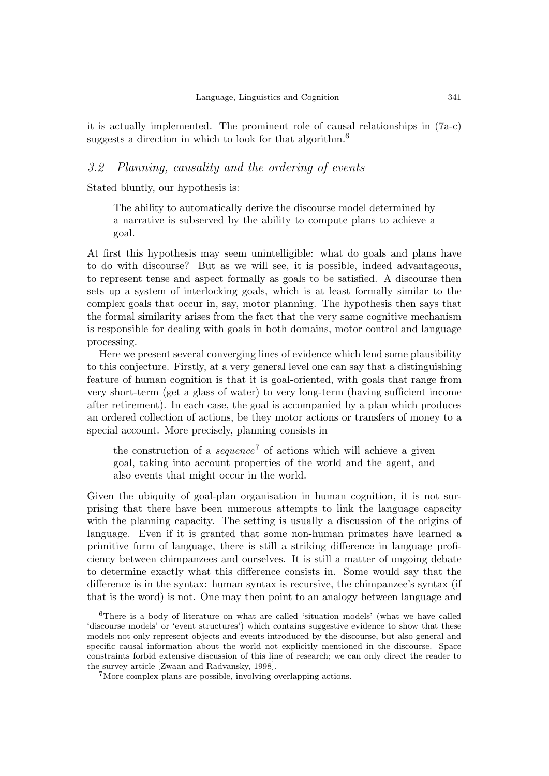it is actually implemented. The prominent role of causal relationships in (7a-c) suggests a direction in which to look for that algorithm.<sup>6</sup>

# 3.2 Planning, causality and the ordering of events

Stated bluntly, our hypothesis is:

The ability to automatically derive the discourse model determined by a narrative is subserved by the ability to compute plans to achieve a goal.

At first this hypothesis may seem unintelligible: what do goals and plans have to do with discourse? But as we will see, it is possible, indeed advantageous, to represent tense and aspect formally as goals to be satisfied. A discourse then sets up a system of interlocking goals, which is at least formally similar to the complex goals that occur in, say, motor planning. The hypothesis then says that the formal similarity arises from the fact that the very same cognitive mechanism is responsible for dealing with goals in both domains, motor control and language processing.

Here we present several converging lines of evidence which lend some plausibility to this conjecture. Firstly, at a very general level one can say that a distinguishing feature of human cognition is that it is goal-oriented, with goals that range from very short-term (get a glass of water) to very long-term (having sufficient income after retirement). In each case, the goal is accompanied by a plan which produces an ordered collection of actions, be they motor actions or transfers of money to a special account. More precisely, planning consists in

the construction of a *sequence*<sup>7</sup> of actions which will achieve a given goal, taking into account properties of the world and the agent, and also events that might occur in the world.

Given the ubiquity of goal-plan organisation in human cognition, it is not surprising that there have been numerous attempts to link the language capacity with the planning capacity. The setting is usually a discussion of the origins of language. Even if it is granted that some non-human primates have learned a primitive form of language, there is still a striking difference in language proficiency between chimpanzees and ourselves. It is still a matter of ongoing debate to determine exactly what this difference consists in. Some would say that the difference is in the syntax: human syntax is recursive, the chimpanzee's syntax (if that is the word) is not. One may then point to an analogy between language and

<sup>&</sup>lt;sup>6</sup>There is a body of literature on what are called 'situation models' (what we have called 'discourse models' or 'event structures') which contains suggestive evidence to show that these models not only represent objects and events introduced by the discourse, but also general and specific causal information about the world not explicitly mentioned in the discourse. Space constraints forbid extensive discussion of this line of research; we can only direct the reader to the survey article [Zwaan and Radvansky, 1998].

<sup>7</sup>More complex plans are possible, involving overlapping actions.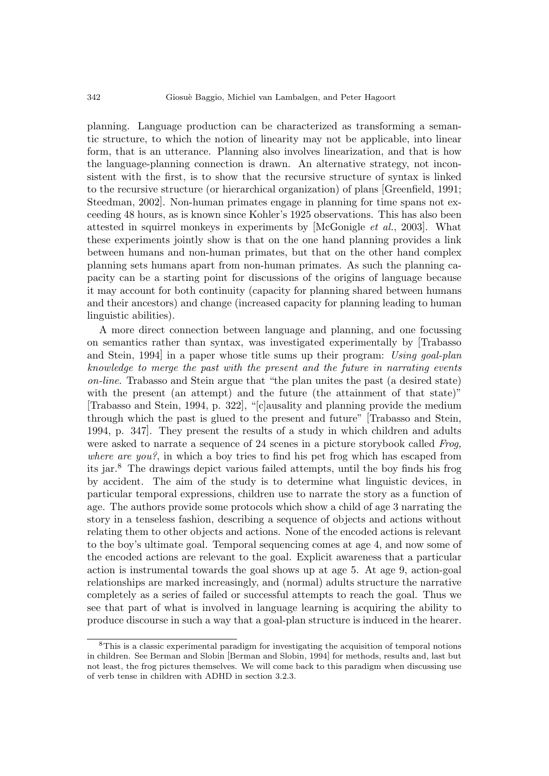planning. Language production can be characterized as transforming a semantic structure, to which the notion of linearity may not be applicable, into linear form, that is an utterance. Planning also involves linearization, and that is how the language-planning connection is drawn. An alternative strategy, not inconsistent with the first, is to show that the recursive structure of syntax is linked to the recursive structure (or hierarchical organization) of plans [Greenfield, 1991; Steedman, 2002]. Non-human primates engage in planning for time spans not exceeding 48 hours, as is known since Kohler's 1925 observations. This has also been attested in squirrel monkeys in experiments by [McGonigle et al., 2003]. What these experiments jointly show is that on the one hand planning provides a link between humans and non-human primates, but that on the other hand complex planning sets humans apart from non-human primates. As such the planning capacity can be a starting point for discussions of the origins of language because it may account for both continuity (capacity for planning shared between humans and their ancestors) and change (increased capacity for planning leading to human linguistic abilities).

A more direct connection between language and planning, and one focussing on semantics rather than syntax, was investigated experimentally by [Trabasso and Stein, 1994] in a paper whose title sums up their program: Using goal-plan knowledge to merge the past with the present and the future in narrating events on-line. Trabasso and Stein argue that "the plan unites the past (a desired state) with the present (an attempt) and the future (the attainment of that state)" [Trabasso and Stein, 1994, p. 322], "[c]ausality and planning provide the medium through which the past is glued to the present and future" [Trabasso and Stein, 1994, p. 347]. They present the results of a study in which children and adults were asked to narrate a sequence of 24 scenes in a picture storybook called Frog, where are you?, in which a boy tries to find his pet frog which has escaped from its jar.<sup>8</sup> The drawings depict various failed attempts, until the boy finds his frog by accident. The aim of the study is to determine what linguistic devices, in particular temporal expressions, children use to narrate the story as a function of age. The authors provide some protocols which show a child of age 3 narrating the story in a tenseless fashion, describing a sequence of objects and actions without relating them to other objects and actions. None of the encoded actions is relevant to the boy's ultimate goal. Temporal sequencing comes at age 4, and now some of the encoded actions are relevant to the goal. Explicit awareness that a particular action is instrumental towards the goal shows up at age 5. At age 9, action-goal relationships are marked increasingly, and (normal) adults structure the narrative completely as a series of failed or successful attempts to reach the goal. Thus we see that part of what is involved in language learning is acquiring the ability to produce discourse in such a way that a goal-plan structure is induced in the hearer.

<sup>8</sup>This is a classic experimental paradigm for investigating the acquisition of temporal notions in children. See Berman and Slobin [Berman and Slobin, 1994] for methods, results and, last but not least, the frog pictures themselves. We will come back to this paradigm when discussing use of verb tense in children with ADHD in section 3.2.3.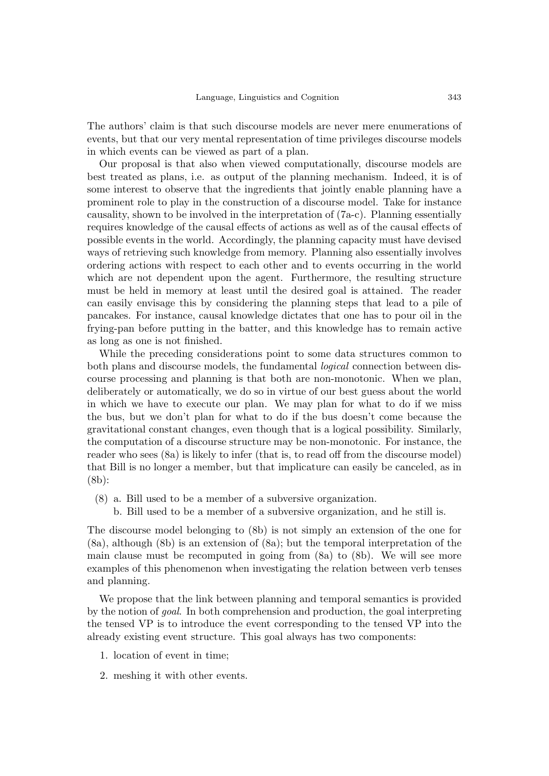The authors' claim is that such discourse models are never mere enumerations of events, but that our very mental representation of time privileges discourse models in which events can be viewed as part of a plan.

Our proposal is that also when viewed computationally, discourse models are best treated as plans, i.e. as output of the planning mechanism. Indeed, it is of some interest to observe that the ingredients that jointly enable planning have a prominent role to play in the construction of a discourse model. Take for instance causality, shown to be involved in the interpretation of (7a-c). Planning essentially requires knowledge of the causal effects of actions as well as of the causal effects of possible events in the world. Accordingly, the planning capacity must have devised ways of retrieving such knowledge from memory. Planning also essentially involves ordering actions with respect to each other and to events occurring in the world which are not dependent upon the agent. Furthermore, the resulting structure must be held in memory at least until the desired goal is attained. The reader can easily envisage this by considering the planning steps that lead to a pile of pancakes. For instance, causal knowledge dictates that one has to pour oil in the frying-pan before putting in the batter, and this knowledge has to remain active as long as one is not finished.

While the preceding considerations point to some data structures common to both plans and discourse models, the fundamental logical connection between discourse processing and planning is that both are non-monotonic. When we plan, deliberately or automatically, we do so in virtue of our best guess about the world in which we have to execute our plan. We may plan for what to do if we miss the bus, but we don't plan for what to do if the bus doesn't come because the gravitational constant changes, even though that is a logical possibility. Similarly, the computation of a discourse structure may be non-monotonic. For instance, the reader who sees (8a) is likely to infer (that is, to read off from the discourse model) that Bill is no longer a member, but that implicature can easily be canceled, as in (8b):

- (8) a. Bill used to be a member of a subversive organization.
	- b. Bill used to be a member of a subversive organization, and he still is.

The discourse model belonging to (8b) is not simply an extension of the one for (8a), although (8b) is an extension of (8a); but the temporal interpretation of the main clause must be recomputed in going from (8a) to (8b). We will see more examples of this phenomenon when investigating the relation between verb tenses and planning.

We propose that the link between planning and temporal semantics is provided by the notion of goal. In both comprehension and production, the goal interpreting the tensed VP is to introduce the event corresponding to the tensed VP into the already existing event structure. This goal always has two components:

- 1. location of event in time;
- 2. meshing it with other events.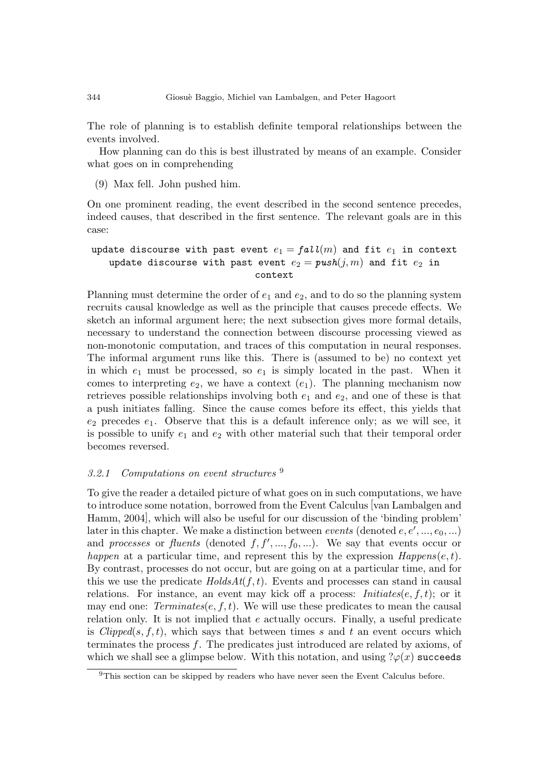The role of planning is to establish definite temporal relationships between the events involved.

How planning can do this is best illustrated by means of an example. Consider what goes on in comprehending

(9) Max fell. John pushed him.

On one prominent reading, the event described in the second sentence precedes, indeed causes, that described in the first sentence. The relevant goals are in this case:

update discourse with past event  $e_1 = fall(m)$  and fit  $e_1$  in context update discourse with past event  $e_2 = push(j, m)$  and fit  $e_2$  in context

Planning must determine the order of  $e_1$  and  $e_2$ , and to do so the planning system recruits causal knowledge as well as the principle that causes precede effects. We sketch an informal argument here; the next subsection gives more formal details, necessary to understand the connection between discourse processing viewed as non-monotonic computation, and traces of this computation in neural responses. The informal argument runs like this. There is (assumed to be) no context yet in which  $e_1$  must be processed, so  $e_1$  is simply located in the past. When it comes to interpreting  $e_2$ , we have a context  $(e_1)$ . The planning mechanism now retrieves possible relationships involving both  $e_1$  and  $e_2$ , and one of these is that a push initiates falling. Since the cause comes before its effect, this yields that  $e_2$  precedes  $e_1$ . Observe that this is a default inference only; as we will see, it is possible to unify  $e_1$  and  $e_2$  with other material such that their temporal order becomes reversed.

### 3.2.1 Computations on event structures  $9$

To give the reader a detailed picture of what goes on in such computations, we have to introduce some notation, borrowed from the Event Calculus [van Lambalgen and Hamm, 2004], which will also be useful for our discussion of the 'binding problem' later in this chapter. We make a distinction between *events* (denoted  $e, e', ..., e_0, ...$ ) and processes or fluents (denoted  $f, f', ..., f_0, ...$ ). We say that events occur or happen at a particular time, and represent this by the expression  $Happens(e, t)$ . By contrast, processes do not occur, but are going on at a particular time, and for this we use the predicate  $HoldsAt(f, t)$ . Events and processes can stand in causal relations. For instance, an event may kick off a process: *Initiates(e, f, t)*; or it may end one:  $Terminates(e, f, t)$ . We will use these predicates to mean the causal relation only. It is not implied that e actually occurs. Finally, a useful predicate is Clipped(s, f, t), which says that between times s and t an event occurs which terminates the process f. The predicates just introduced are related by axioms, of which we shall see a glimpse below. With this notation, and using  $\mathcal{P}\varphi(x)$  succeeds

<sup>&</sup>lt;sup>9</sup>This section can be skipped by readers who have never seen the Event Calculus before.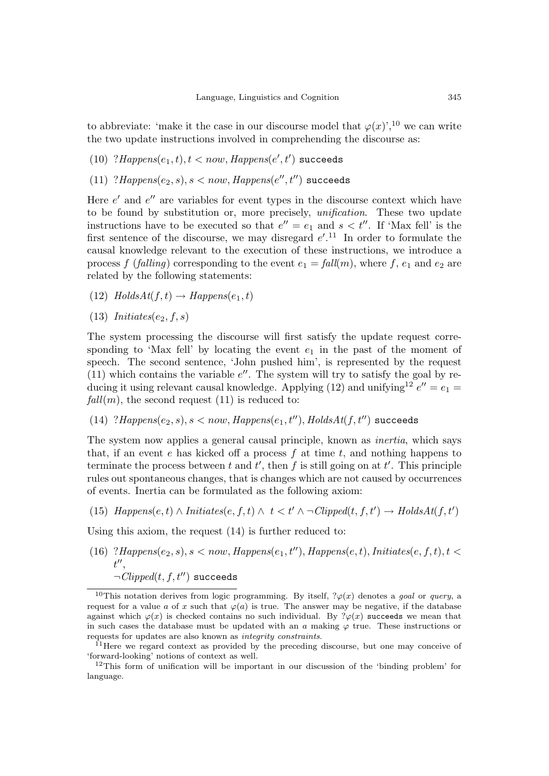to abbreviate: 'make it the case in our discourse model that  $\varphi(x)$ ',<sup>10</sup> we can write the two update instructions involved in comprehending the discourse as:

- (10)  $?$  Happens $(e_1, t)$ ,  $t < now$ , Happens $(e', t')$  succeeds
- (11)  $?$  Happens( $e_2$ , s), s < now, Happens( $e''$ ,  $t''$ ) succeeds

Here  $e'$  and  $e''$  are variables for event types in the discourse context which have to be found by substitution or, more precisely, unification. These two update instructions have to be executed so that  $e'' = e_1$  and  $s < t''$ . If 'Max fell' is the first sentence of the discourse, we may disregard  $e'.<sup>11</sup>$  In order to formulate the causal knowledge relevant to the execution of these instructions, we introduce a process f (falling) corresponding to the event  $e_1 = \text{fall}(m)$ , where f,  $e_1$  and  $e_2$  are related by the following statements:

- (12)  $HoldsAt(f, t) \rightarrow Happens(e_1, t)$
- (13) Initiates(e<sub>2</sub>, f, s)

The system processing the discourse will first satisfy the update request corresponding to 'Max fell' by locating the event  $e_1$  in the past of the moment of speech. The second sentence, 'John pushed him', is represented by the request (11) which contains the variable  $e''$ . The system will try to satisfy the goal by reducing it using relevant causal knowledge. Applying (12) and unifying<sup>12</sup>  $e'' = e_1$  $fall(m)$ , the second request (11) is reduced to:

(14) 
$$
? \text{Happens}(e_2, s), s < now, \text{Happens}(e_1, t''), \text{HoldsAt}(f, t'')
$$
 succeeds

The system now applies a general causal principle, known as inertia, which says that, if an event e has kicked off a process  $f$  at time  $t$ , and nothing happens to terminate the process between t and  $t'$ , then f is still going on at  $t'$ . This principle rules out spontaneous changes, that is changes which are not caused by occurrences of events. Inertia can be formulated as the following axiom:

(15)  $Happens(e, t) \wedge Initiates(e, f, t) \wedge t < t' \wedge \neg Clipped(t, f, t') \rightarrow HoldsAt(f, t')$ 

Using this axiom, the request (14) is further reduced to:

(16) ? Happens $(e_2, s)$ ,  $s < now$ , Happens $(e_1, t'')$ , Happens $(e, t)$ , Initiates $(e, f, t)$ ,  $t <$  $t'',$ 

 $\neg Clipped(t, f, t'')$  succeeds

<sup>&</sup>lt;sup>10</sup>This notation derives from logic programming. By itself,  $?\varphi(x)$  denotes a *goal* or *query*, a request for a value a of x such that  $\varphi(a)$  is true. The answer may be negative, if the database against which  $\varphi(x)$  is checked contains no such individual. By ? $\varphi(x)$  succeeds we mean that in such cases the database must be updated with an a making  $\varphi$  true. These instructions or requests for updates are also known as integrity constraints.

<sup>&</sup>lt;sup>11</sup>Here we regard context as provided by the preceding discourse, but one may conceive of 'forward-looking' notions of context as well.

<sup>12</sup>This form of unification will be important in our discussion of the 'binding problem' for language.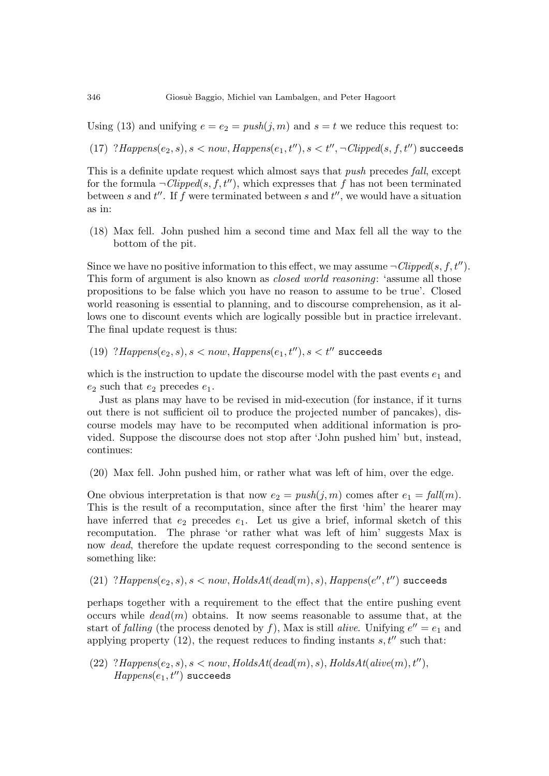Using (13) and unifying  $e = e_2 = push(j, m)$  and  $s = t$  we reduce this request to:

(17)  $?$  *Happens*( $e_2$ ,  $s$ ),  $s$  < now,  $Happens(e_1, t'')$ ,  $s$  <  $t''$ ,  $\neg$ *Clipped*( $s$ ,  $f$ , $t''$ ) succeeds

This is a definite update request which almost says that *push* precedes *fall*, except for the formula  $\neg Clipped(s, f, t'')$ , which expresses that f has not been terminated between s and  $t''$ . If f were terminated between s and  $t''$ , we would have a situation as in:

(18) Max fell. John pushed him a second time and Max fell all the way to the bottom of the pit.

Since we have no positive information to this effect, we may assume  $\neg Clipped(s, f, t'')$ . This form of argument is also known as closed world reasoning: 'assume all those propositions to be false which you have no reason to assume to be true'. Closed world reasoning is essential to planning, and to discourse comprehension, as it allows one to discount events which are logically possible but in practice irrelevant. The final update request is thus:

(19)  $?$ Happens $(e_2, s)$ ,  $s < now$ , Happens $(e_1, t'')$ ,  $s < t''$  succeeds

which is the instruction to update the discourse model with the past events  $e_1$  and  $e_2$  such that  $e_2$  precedes  $e_1$ .

Just as plans may have to be revised in mid-execution (for instance, if it turns out there is not sufficient oil to produce the projected number of pancakes), discourse models may have to be recomputed when additional information is provided. Suppose the discourse does not stop after 'John pushed him' but, instead, continues:

(20) Max fell. John pushed him, or rather what was left of him, over the edge.

One obvious interpretation is that now  $e_2 = push(j, m)$  comes after  $e_1 = fall(m)$ . This is the result of a recomputation, since after the first 'him' the hearer may have inferred that  $e_2$  precedes  $e_1$ . Let us give a brief, informal sketch of this recomputation. The phrase 'or rather what was left of him' suggests Max is now *dead*, therefore the update request corresponding to the second sentence is something like:

(21) ?  $Happens(e_2, s)$ ,  $s < now$ ,  $HoldsAt(dead(m), s)$ ,  $Happens(e'', t'')$  succeeds

perhaps together with a requirement to the effect that the entire pushing event occurs while  $dead(m)$  obtains. It now seems reasonable to assume that, at the start of falling (the process denoted by f), Max is still alive. Unifying  $e'' = e_1$  and applying property (12), the request reduces to finding instants  $s, t''$  such that:

(22) ?  $Happens(e_2, s)$ ,  $s < now$ ,  $HoldsAt(dead(m), s)$ ,  $HoldsAt(alive(m), t'')$ ,  $Happens(e_1, t'')$  succeeds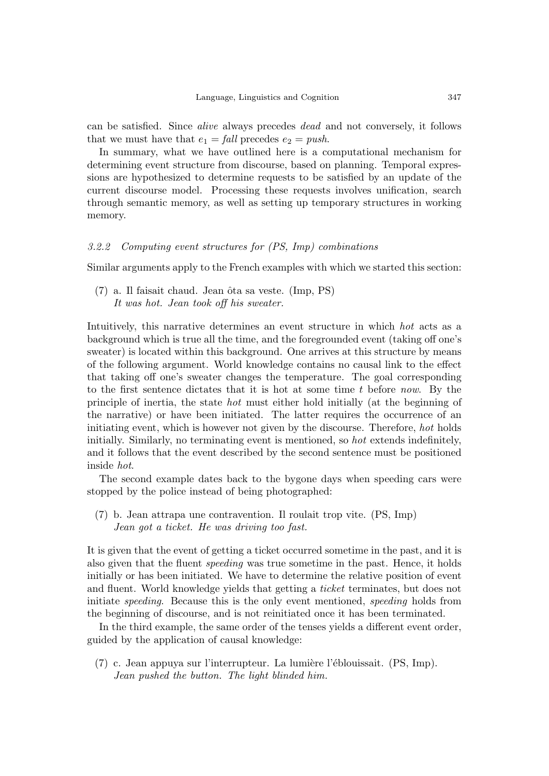can be satisfied. Since alive always precedes dead and not conversely, it follows that we must have that  $e_1 = \text{fall precedes } e_2 = \text{push}$ .

In summary, what we have outlined here is a computational mechanism for determining event structure from discourse, based on planning. Temporal expressions are hypothesized to determine requests to be satisfied by an update of the current discourse model. Processing these requests involves unification, search through semantic memory, as well as setting up temporary structures in working memory.

### 3.2.2 Computing event structures for (PS, Imp) combinations

Similar arguments apply to the French examples with which we started this section:

 $(7)$  a. Il faisait chaud. Jean ôta sa veste. (Imp, PS) It was hot. Jean took off his sweater.

Intuitively, this narrative determines an event structure in which hot acts as a background which is true all the time, and the foregrounded event (taking off one's sweater) is located within this background. One arrives at this structure by means of the following argument. World knowledge contains no causal link to the effect that taking off one's sweater changes the temperature. The goal corresponding to the first sentence dictates that it is hot at some time t before now. By the principle of inertia, the state hot must either hold initially (at the beginning of the narrative) or have been initiated. The latter requires the occurrence of an initiating event, which is however not given by the discourse. Therefore, hot holds initially. Similarly, no terminating event is mentioned, so hot extends indefinitely, and it follows that the event described by the second sentence must be positioned inside hot.

The second example dates back to the bygone days when speeding cars were stopped by the police instead of being photographed:

(7) b. Jean attrapa une contravention. Il roulait trop vite. (PS, Imp) Jean got a ticket. He was driving too fast.

It is given that the event of getting a ticket occurred sometime in the past, and it is also given that the fluent speeding was true sometime in the past. Hence, it holds initially or has been initiated. We have to determine the relative position of event and fluent. World knowledge yields that getting a ticket terminates, but does not initiate speeding. Because this is the only event mentioned, speeding holds from the beginning of discourse, and is not reinitiated once it has been terminated.

In the third example, the same order of the tenses yields a different event order, guided by the application of causal knowledge:

(7) c. Jean appuya sur l'interrupteur. La lumière l'éblouissait. (PS, Imp). Jean pushed the button. The light blinded him.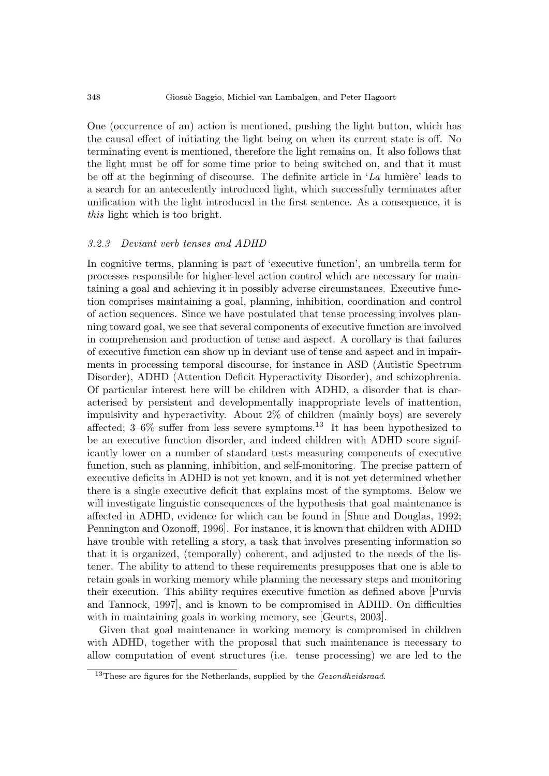One (occurrence of an) action is mentioned, pushing the light button, which has the causal effect of initiating the light being on when its current state is off. No terminating event is mentioned, therefore the light remains on. It also follows that the light must be off for some time prior to being switched on, and that it must be off at the beginning of discourse. The definite article in  $'La$  lumière' leads to a search for an antecedently introduced light, which successfully terminates after unification with the light introduced in the first sentence. As a consequence, it is this light which is too bright.

#### 3.2.3 Deviant verb tenses and ADHD

In cognitive terms, planning is part of 'executive function', an umbrella term for processes responsible for higher-level action control which are necessary for maintaining a goal and achieving it in possibly adverse circumstances. Executive function comprises maintaining a goal, planning, inhibition, coordination and control of action sequences. Since we have postulated that tense processing involves planning toward goal, we see that several components of executive function are involved in comprehension and production of tense and aspect. A corollary is that failures of executive function can show up in deviant use of tense and aspect and in impairments in processing temporal discourse, for instance in ASD (Autistic Spectrum Disorder), ADHD (Attention Deficit Hyperactivity Disorder), and schizophrenia. Of particular interest here will be children with ADHD, a disorder that is characterised by persistent and developmentally inappropriate levels of inattention, impulsivity and hyperactivity. About 2% of children (mainly boys) are severely affected;  $3-6\%$  suffer from less severe symptoms.<sup>13</sup> It has been hypothesized to be an executive function disorder, and indeed children with ADHD score significantly lower on a number of standard tests measuring components of executive function, such as planning, inhibition, and self-monitoring. The precise pattern of executive deficits in ADHD is not yet known, and it is not yet determined whether there is a single executive deficit that explains most of the symptoms. Below we will investigate linguistic consequences of the hypothesis that goal maintenance is affected in ADHD, evidence for which can be found in Shue and Douglas, 1992; Pennington and Ozonoff, 1996. For instance, it is known that children with ADHD have trouble with retelling a story, a task that involves presenting information so that it is organized, (temporally) coherent, and adjusted to the needs of the listener. The ability to attend to these requirements presupposes that one is able to retain goals in working memory while planning the necessary steps and monitoring their execution. This ability requires executive function as defined above [Purvis and Tannock, 1997, and is known to be compromised in ADHD. On difficulties with in maintaining goals in working memory, see [Geurts, 2003].

Given that goal maintenance in working memory is compromised in children with ADHD, together with the proposal that such maintenance is necessary to allow computation of event structures (i.e. tense processing) we are led to the

<sup>&</sup>lt;sup>13</sup>These are figures for the Netherlands, supplied by the *Gezondheidsraad*.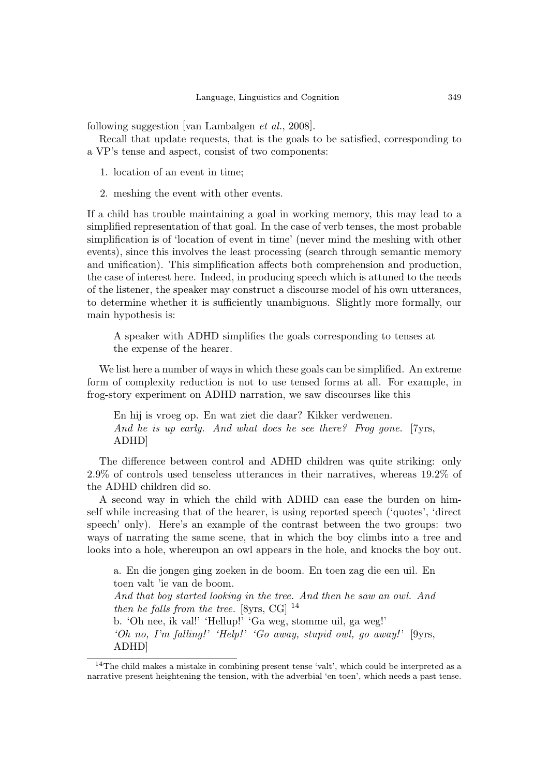following suggestion [van Lambalgen et al., 2008].

Recall that update requests, that is the goals to be satisfied, corresponding to a VP's tense and aspect, consist of two components:

- 1. location of an event in time;
- 2. meshing the event with other events.

If a child has trouble maintaining a goal in working memory, this may lead to a simplified representation of that goal. In the case of verb tenses, the most probable simplification is of 'location of event in time' (never mind the meshing with other events), since this involves the least processing (search through semantic memory and unification). This simplification affects both comprehension and production, the case of interest here. Indeed, in producing speech which is attuned to the needs of the listener, the speaker may construct a discourse model of his own utterances, to determine whether it is sufficiently unambiguous. Slightly more formally, our main hypothesis is:

A speaker with ADHD simplifies the goals corresponding to tenses at the expense of the hearer.

We list here a number of ways in which these goals can be simplified. An extreme form of complexity reduction is not to use tensed forms at all. For example, in frog-story experiment on ADHD narration, we saw discourses like this

En hij is vroeg op. En wat ziet die daar? Kikker verdwenen. And he is up early. And what does he see there? Frog gone. [7yrs, ADHD]

The difference between control and ADHD children was quite striking: only 2.9% of controls used tenseless utterances in their narratives, whereas 19.2% of the ADHD children did so.

A second way in which the child with ADHD can ease the burden on himself while increasing that of the hearer, is using reported speech ('quotes', 'direct speech' only). Here's an example of the contrast between the two groups: two ways of narrating the same scene, that in which the boy climbs into a tree and looks into a hole, whereupon an owl appears in the hole, and knocks the boy out.

a. En die jongen ging zoeken in de boom. En toen zag die een uil. En toen valt 'ie van de boom.

And that boy started looking in the tree. And then he saw an owl. And then he falls from the tree. [8yrs, CG]  $^{14}$ 

b. 'Oh nee, ik val!' 'Hellup!' 'Ga weg, stomme uil, ga weg!'

'Oh no, I'm falling!' 'Help!' 'Go away, stupid owl, go away!' [9yrs, ADHD]

<sup>&</sup>lt;sup>14</sup>The child makes a mistake in combining present tense 'valt', which could be interpreted as a narrative present heightening the tension, with the adverbial 'en toen', which needs a past tense.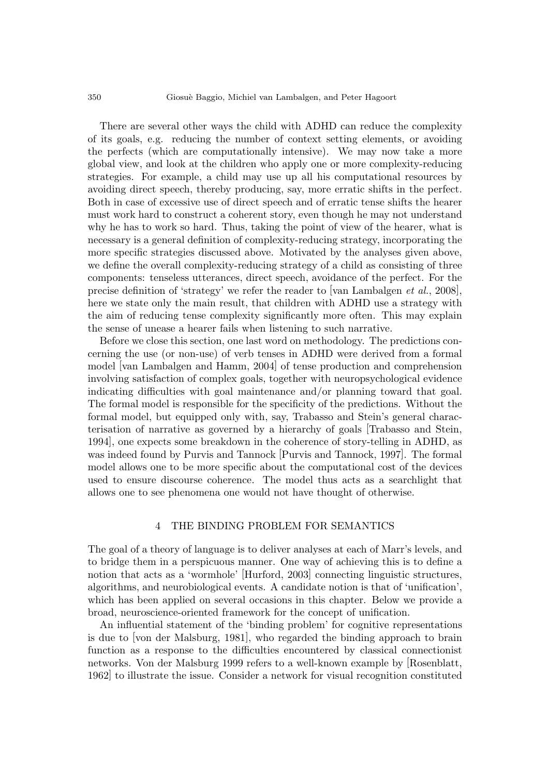There are several other ways the child with ADHD can reduce the complexity of its goals, e.g. reducing the number of context setting elements, or avoiding the perfects (which are computationally intensive). We may now take a more global view, and look at the children who apply one or more complexity-reducing strategies. For example, a child may use up all his computational resources by avoiding direct speech, thereby producing, say, more erratic shifts in the perfect. Both in case of excessive use of direct speech and of erratic tense shifts the hearer must work hard to construct a coherent story, even though he may not understand why he has to work so hard. Thus, taking the point of view of the hearer, what is necessary is a general definition of complexity-reducing strategy, incorporating the more specific strategies discussed above. Motivated by the analyses given above, we define the overall complexity-reducing strategy of a child as consisting of three components: tenseless utterances, direct speech, avoidance of the perfect. For the precise definition of 'strategy' we refer the reader to [van Lambalgen et al., 2008], here we state only the main result, that children with ADHD use a strategy with the aim of reducing tense complexity significantly more often. This may explain the sense of unease a hearer fails when listening to such narrative.

Before we close this section, one last word on methodology. The predictions concerning the use (or non-use) of verb tenses in ADHD were derived from a formal model [van Lambalgen and Hamm, 2004] of tense production and comprehension involving satisfaction of complex goals, together with neuropsychological evidence indicating difficulties with goal maintenance and/or planning toward that goal. The formal model is responsible for the specificity of the predictions. Without the formal model, but equipped only with, say, Trabasso and Stein's general characterisation of narrative as governed by a hierarchy of goals [Trabasso and Stein, 1994], one expects some breakdown in the coherence of story-telling in ADHD, as was indeed found by Purvis and Tannock [Purvis and Tannock, 1997]. The formal model allows one to be more specific about the computational cost of the devices used to ensure discourse coherence. The model thus acts as a searchlight that allows one to see phenomena one would not have thought of otherwise.

#### 4 THE BINDING PROBLEM FOR SEMANTICS

The goal of a theory of language is to deliver analyses at each of Marr's levels, and to bridge them in a perspicuous manner. One way of achieving this is to define a notion that acts as a 'wormhole' [Hurford, 2003] connecting linguistic structures, algorithms, and neurobiological events. A candidate notion is that of 'unification', which has been applied on several occasions in this chapter. Below we provide a broad, neuroscience-oriented framework for the concept of unification.

An influential statement of the 'binding problem' for cognitive representations is due to [von der Malsburg, 1981], who regarded the binding approach to brain function as a response to the difficulties encountered by classical connectionist networks. Von der Malsburg 1999 refers to a well-known example by [Rosenblatt, 1962] to illustrate the issue. Consider a network for visual recognition constituted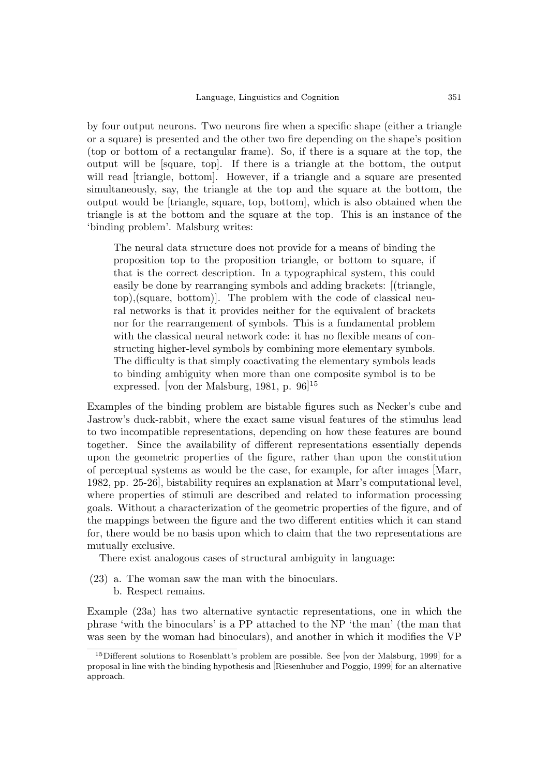by four output neurons. Two neurons fire when a specific shape (either a triangle or a square) is presented and the other two fire depending on the shape's position (top or bottom of a rectangular frame). So, if there is a square at the top, the output will be [square, top]. If there is a triangle at the bottom, the output will read [triangle, bottom]. However, if a triangle and a square are presented simultaneously, say, the triangle at the top and the square at the bottom, the output would be [triangle, square, top, bottom], which is also obtained when the triangle is at the bottom and the square at the top. This is an instance of the 'binding problem'. Malsburg writes:

The neural data structure does not provide for a means of binding the proposition top to the proposition triangle, or bottom to square, if that is the correct description. In a typographical system, this could easily be done by rearranging symbols and adding brackets: [(triangle, top),(square, bottom)]. The problem with the code of classical neural networks is that it provides neither for the equivalent of brackets nor for the rearrangement of symbols. This is a fundamental problem with the classical neural network code: it has no flexible means of constructing higher-level symbols by combining more elementary symbols. The difficulty is that simply coactivating the elementary symbols leads to binding ambiguity when more than one composite symbol is to be expressed. [von der Malsburg, 1981, p.  $96$ ]<sup>15</sup>

Examples of the binding problem are bistable figures such as Necker's cube and Jastrow's duck-rabbit, where the exact same visual features of the stimulus lead to two incompatible representations, depending on how these features are bound together. Since the availability of different representations essentially depends upon the geometric properties of the figure, rather than upon the constitution of perceptual systems as would be the case, for example, for after images [Marr, 1982, pp. 25-26], bistability requires an explanation at Marr's computational level, where properties of stimuli are described and related to information processing goals. Without a characterization of the geometric properties of the figure, and of the mappings between the figure and the two different entities which it can stand for, there would be no basis upon which to claim that the two representations are mutually exclusive.

There exist analogous cases of structural ambiguity in language:

- (23) a. The woman saw the man with the binoculars.
	- b. Respect remains.

Example (23a) has two alternative syntactic representations, one in which the phrase 'with the binoculars' is a PP attached to the NP 'the man' (the man that was seen by the woman had binoculars), and another in which it modifies the VP

 $15$ Different solutions to Rosenblatt's problem are possible. See [von der Malsburg, 1999] for a proposal in line with the binding hypothesis and [Riesenhuber and Poggio, 1999] for an alternative approach.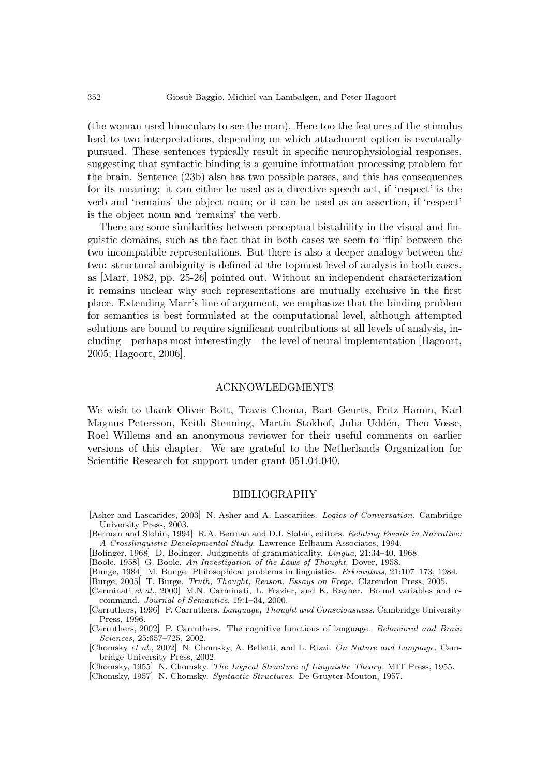(the woman used binoculars to see the man). Here too the features of the stimulus lead to two interpretations, depending on which attachment option is eventually pursued. These sentences typically result in specific neurophysiologial responses, suggesting that syntactic binding is a genuine information processing problem for the brain. Sentence (23b) also has two possible parses, and this has consequences for its meaning: it can either be used as a directive speech act, if 'respect' is the verb and 'remains' the object noun; or it can be used as an assertion, if 'respect' is the object noun and 'remains' the verb.

There are some similarities between perceptual bistability in the visual and linguistic domains, such as the fact that in both cases we seem to 'flip' between the two incompatible representations. But there is also a deeper analogy between the two: structural ambiguity is defined at the topmost level of analysis in both cases, as [Marr, 1982, pp. 25-26] pointed out. Without an independent characterization it remains unclear why such representations are mutually exclusive in the first place. Extending Marr's line of argument, we emphasize that the binding problem for semantics is best formulated at the computational level, although attempted solutions are bound to require significant contributions at all levels of analysis, including – perhaps most interestingly – the level of neural implementation  $|{\rm Hag}$ 2005; Hagoort, 2006].

#### ACKNOWLEDGMENTS

We wish to thank Oliver Bott, Travis Choma, Bart Geurts, Fritz Hamm, Karl Magnus Petersson, Keith Stenning, Martin Stokhof, Julia Uddén, Theo Vosse, Roel Willems and an anonymous reviewer for their useful comments on earlier versions of this chapter. We are grateful to the Netherlands Organization for Scientific Research for support under grant 051.04.040.

#### BIBLIOGRAPHY

- [Berman and Slobin, 1994] R.A. Berman and D.I. Slobin, editors. Relating Events in Narrative: A Crosslinguistic Developmental Study. Lawrence Erlbaum Associates, 1994.
- [Bolinger, 1968] D. Bolinger. Judgments of grammaticality. Lingua, 21:34–40, 1968.

[Boole, 1958] G. Boole. An Investigation of the Laws of Thought. Dover, 1958.

[Bunge, 1984] M. Bunge. Philosophical problems in linguistics. Erkenntnis, 21:107–173, 1984.

[Burge, 2005] T. Burge. Truth, Thought, Reason. Essays on Frege. Clarendon Press, 2005.

[Carminati et al., 2000] M.N. Carminati, L. Frazier, and K. Rayner. Bound variables and ccommand. Journal of Semantics, 19:1–34, 2000.

[Chomsky, 1957] N. Chomsky. Syntactic Structures. De Gruyter-Mouton, 1957.

<sup>[</sup>Asher and Lascarides, 2003] N. Asher and A. Lascarides. Logics of Conversation. Cambridge University Press, 2003.

<sup>[</sup>Carruthers, 1996] P. Carruthers. Language, Thought and Consciousness. Cambridge University Press, 1996.

<sup>[</sup>Carruthers, 2002] P. Carruthers. The cognitive functions of language. Behavioral and Brain Sciences, 25:657–725, 2002.

<sup>[</sup>Chomsky et al., 2002] N. Chomsky, A. Belletti, and L. Rizzi. On Nature and Language. Cambridge University Press, 2002.

<sup>[</sup>Chomsky, 1955] N. Chomsky. The Logical Structure of Linguistic Theory. MIT Press, 1955.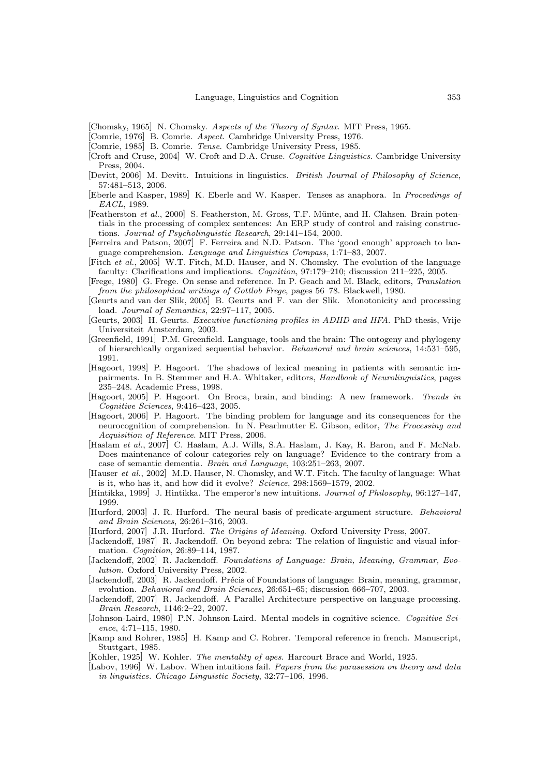[Chomsky, 1965] N. Chomsky. Aspects of the Theory of Syntax. MIT Press, 1965.

- [Comrie, 1976] B. Comrie. Aspect. Cambridge University Press, 1976.
- [Comrie, 1985] B. Comrie. Tense. Cambridge University Press, 1985.
- [Croft and Cruse, 2004] W. Croft and D.A. Cruse. Cognitive Linguistics. Cambridge University Press, 2004.
- [Devitt, 2006] M. Devitt. Intuitions in linguistics. British Journal of Philosophy of Science, 57:481–513, 2006.
- [Eberle and Kasper, 1989] K. Eberle and W. Kasper. Tenses as anaphora. In Proceedings of EACL, 1989.
- [Featherston et al., 2000] S. Featherston, M. Gross, T.F. Münte, and H. Clahsen. Brain potentials in the processing of complex sentences: An ERP study of control and raising constructions. Journal of Psycholinguistic Research, 29:141–154, 2000.
- [Ferreira and Patson, 2007] F. Ferreira and N.D. Patson. The 'good enough' approach to language comprehension. Language and Linguistics Compass, 1:71–83, 2007.
- [Fitch et al., 2005] W.T. Fitch, M.D. Hauser, and N. Chomsky. The evolution of the language faculty: Clarifications and implications. Cognition, 97:179–210; discussion 211–225, 2005.
- [Frege, 1980] G. Frege. On sense and reference. In P. Geach and M. Black, editors, Translation from the philosophical writings of Gottlob Frege, pages 56–78. Blackwell, 1980.
- [Geurts and van der Slik, 2005] B. Geurts and F. van der Slik. Monotonicity and processing load. Journal of Semantics, 22:97–117, 2005.
- [Geurts, 2003] H. Geurts. Executive functioning profiles in ADHD and HFA. PhD thesis, Vrije Universiteit Amsterdam, 2003.
- [Greenfield, 1991] P.M. Greenfield. Language, tools and the brain: The ontogeny and phylogeny of hierarchically organized sequential behavior. Behavioral and brain sciences, 14:531–595, 1991.
- [Hagoort, 1998] P. Hagoort. The shadows of lexical meaning in patients with semantic impairments. In B. Stemmer and H.A. Whitaker, editors, Handbook of Neurolinguistics, pages 235–248. Academic Press, 1998.
- [Hagoort, 2005] P. Hagoort. On Broca, brain, and binding: A new framework. Trends in Cognitive Sciences, 9:416–423, 2005.
- [Hagoort, 2006] P. Hagoort. The binding problem for language and its consequences for the neurocognition of comprehension. In N. Pearlmutter E. Gibson, editor, The Processing and Acquisition of Reference. MIT Press, 2006.
- [Haslam et al., 2007] C. Haslam, A.J. Wills, S.A. Haslam, J. Kay, R. Baron, and F. McNab. Does maintenance of colour categories rely on language? Evidence to the contrary from a case of semantic dementia. Brain and Language, 103:251–263, 2007.
- [Hauser et al., 2002] M.D. Hauser, N. Chomsky, and W.T. Fitch. The faculty of language: What is it, who has it, and how did it evolve? Science, 298:1569–1579, 2002.

[Hintikka, 1999] J. Hintikka. The emperor's new intuitions. Journal of Philosophy, 96:127–147, 1999.

- [Hurford, 2003] J. R. Hurford. The neural basis of predicate-argument structure. Behavioral and Brain Sciences, 26:261–316, 2003.
- [Hurford, 2007] J.R. Hurford. The Origins of Meaning. Oxford University Press, 2007.
- [Jackendoff, 1987] R. Jackendoff. On beyond zebra: The relation of linguistic and visual information. Cognition, 26:89–114, 1987.
- [Jackendoff, 2002] R. Jackendoff. Foundations of Language: Brain, Meaning, Grammar, Evolution. Oxford University Press, 2002.

[Jackendoff, 2003] R. Jackendoff. Précis of Foundations of language: Brain, meaning, grammar, evolution. Behavioral and Brain Sciences, 26:651–65; discussion 666–707, 2003.

[Jackendoff, 2007] R. Jackendoff. A Parallel Architecture perspective on language processing. Brain Research, 1146:2–22, 2007.

- [Johnson-Laird, 1980] P.N. Johnson-Laird. Mental models in cognitive science. Cognitive Science, 4:71–115, 1980.
- [Kamp and Rohrer, 1985] H. Kamp and C. Rohrer. Temporal reference in french. Manuscript, Stuttgart, 1985.
- [Kohler, 1925] W. Kohler. The mentality of apes. Harcourt Brace and World, 1925.
- [Labov, 1996] W. Labov. When intuitions fail. Papers from the parasession on theory and data in linguistics. Chicago Linguistic Society, 32:77–106, 1996.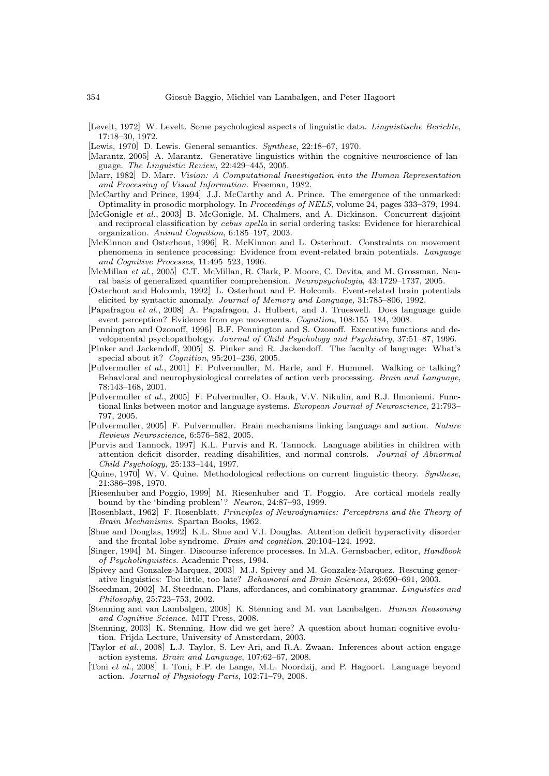- [Levelt, 1972] W. Levelt. Some psychological aspects of linguistic data. Linguistische Berichte, 17:18–30, 1972.
- [Lewis, 1970] D. Lewis. General semantics. Synthese, 22:18–67, 1970.
- [Marantz, 2005] A. Marantz. Generative linguistics within the cognitive neuroscience of language. The Linguistic Review, 22:429–445, 2005.
- [Marr, 1982] D. Marr. Vision: A Computational Investigation into the Human Representation and Processing of Visual Information. Freeman, 1982.
- [McCarthy and Prince, 1994] J.J. McCarthy and A. Prince. The emergence of the unmarked: Optimality in prosodic morphology. In Proceedings of NELS, volume 24, pages 333–379, 1994.
- [McGonigle et al., 2003] B. McGonigle, M. Chalmers, and A. Dickinson. Concurrent disjoint and reciprocal classification by cebus apella in serial ordering tasks: Evidence for hierarchical organization. Animal Cognition, 6:185–197, 2003.
- [McKinnon and Osterhout, 1996] R. McKinnon and L. Osterhout. Constraints on movement phenomena in sentence processing: Evidence from event-related brain potentials. Language and Cognitive Processes, 11:495–523, 1996.
- [McMillan et al., 2005] C.T. McMillan, R. Clark, P. Moore, C. Devita, and M. Grossman. Neural basis of generalized quantifier comprehension. Neuropsychologia, 43:1729–1737, 2005.
- [Osterhout and Holcomb, 1992] L. Osterhout and P. Holcomb. Event-related brain potentials elicited by syntactic anomaly. Journal of Memory and Language, 31:785–806, 1992.
- [Papafragou et al., 2008] A. Papafragou, J. Hulbert, and J. Trueswell. Does language guide event perception? Evidence from eye movements. Cognition, 108:155–184, 2008.
- [Pennington and Ozonoff, 1996] B.F. Pennington and S. Ozonoff. Executive functions and developmental psychopathology. Journal of Child Psychology and Psychiatry, 37:51–87, 1996.
- [Pinker and Jackendoff, 2005] S. Pinker and R. Jackendoff. The faculty of language: What's special about it? Cognition, 95:201–236, 2005.
- [Pulvermuller et al., 2001] F. Pulvermuller, M. Harle, and F. Hummel. Walking or talking? Behavioral and neurophysiological correlates of action verb processing. Brain and Language, 78:143–168, 2001.
- [Pulvermuller et al., 2005] F. Pulvermuller, O. Hauk, V.V. Nikulin, and R.J. Ilmoniemi. Functional links between motor and language systems. European Journal of Neuroscience, 21:793– 797, 2005.
- [Pulvermuller, 2005] F. Pulvermuller. Brain mechanisms linking language and action. Nature Reviews Neuroscience, 6:576–582, 2005.
- [Purvis and Tannock, 1997] K.L. Purvis and R. Tannock. Language abilities in children with attention deficit disorder, reading disabilities, and normal controls. Journal of Abnormal Child Psychology, 25:133–144, 1997.
- [Quine, 1970] W. V. Quine. Methodological reflections on current linguistic theory. Synthese, 21:386–398, 1970.
- [Riesenhuber and Poggio, 1999] M. Riesenhuber and T. Poggio. Are cortical models really bound by the 'binding problem'? Neuron, 24:87-93, 1999.
- [Rosenblatt, 1962] F. Rosenblatt. Principles of Neurodynamics: Perceptrons and the Theory of Brain Mechanisms. Spartan Books, 1962.
- [Shue and Douglas, 1992] K.L. Shue and V.I. Douglas. Attention deficit hyperactivity disorder and the frontal lobe syndrome. Brain and cognition, 20:104–124, 1992.
- [Singer, 1994] M. Singer. Discourse inference processes. In M.A. Gernsbacher, editor, Handbook of Psycholinguistics. Academic Press, 1994.
- [Spivey and Gonzalez-Marquez, 2003] M.J. Spivey and M. Gonzalez-Marquez. Rescuing generative linguistics: Too little, too late? Behavioral and Brain Sciences, 26:690–691, 2003.
- [Steedman, 2002] M. Steedman. Plans, affordances, and combinatory grammar. Linguistics and Philosophy, 25:723–753, 2002.
- [Stenning and van Lambalgen, 2008] K. Stenning and M. van Lambalgen. Human Reasoning and Cognitive Science. MIT Press, 2008.
- [Stenning, 2003] K. Stenning. How did we get here? A question about human cognitive evolution. Frijda Lecture, University of Amsterdam, 2003.
- [Taylor et al., 2008] L.J. Taylor, S. Lev-Ari, and R.A. Zwaan. Inferences about action engage action systems. Brain and Language, 107:62–67, 2008.
- [Toni et al., 2008] I. Toni, F.P. de Lange, M.L. Noordzij, and P. Hagoort. Language beyond action. Journal of Physiology-Paris, 102:71–79, 2008.